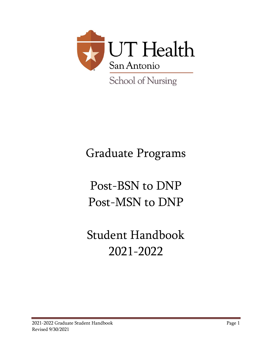

# Graduate Programs

# Post-BSN to DNP Post-MSN to DNP

# Student Handbook 2021-2022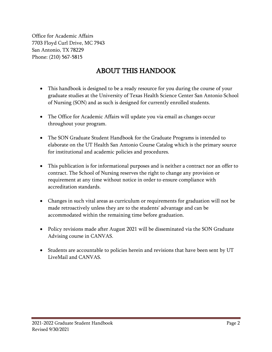Office for Academic Affairs 7703 Floyd Curl Drive, MC 7943 San Antonio, TX 78229 Phone: (210) 567-5815

# ABOUT THIS HANDOOK

- <span id="page-1-0"></span>• This handbook is designed to be a ready resource for you during the course of your graduate studies at the University of Texas Health Science Center San Antonio School of Nursing (SON) and as such is designed for currently enrolled students.
- The Office for Academic Affairs will update you via email as changes occur throughout your program.
- The SON Graduate Student Handbook for the Graduate Programs is intended to elaborate on the UT Health San Antonio Course Catalog which is the primary source for institutional and academic policies and procedures.
- This publication is for informational purposes and is neither a contract nor an offer to contract. The School of Nursing reserves the right to change any provision or requirement at any time without notice in order to ensure compliance with accreditation standards.
- Changes in such vital areas as curriculum or requirements for graduation will not be made retroactively unless they are to the students' advantage and can be accommodated within the remaining time before graduation.
- Policy revisions made after August 2021 will be disseminated via the SON Graduate Advising course in CANVAS.
- Students are accountable to policies herein and revisions that have been sent by UT LiveMail and CANVAS.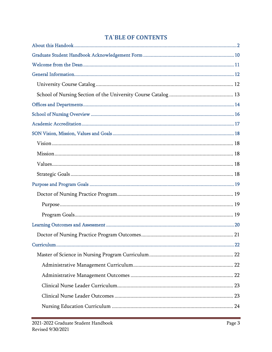## **TA`BLE OF CONTENTS**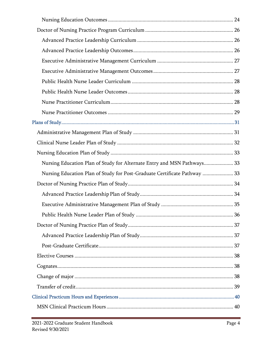| Nursing Education Plan of Study for Alternate Entry and MSN Pathways 33   |  |
|---------------------------------------------------------------------------|--|
| Nursing Education Plan of Study for Post-Graduate Certificate Pathway  33 |  |
|                                                                           |  |
|                                                                           |  |
|                                                                           |  |
|                                                                           |  |
|                                                                           |  |
|                                                                           |  |
|                                                                           |  |
|                                                                           |  |
|                                                                           |  |
|                                                                           |  |
|                                                                           |  |
|                                                                           |  |
|                                                                           |  |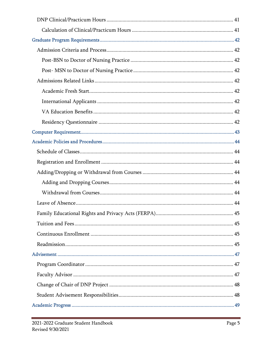| 45 |
|----|
|    |
|    |
|    |
|    |
|    |
|    |
|    |
|    |
|    |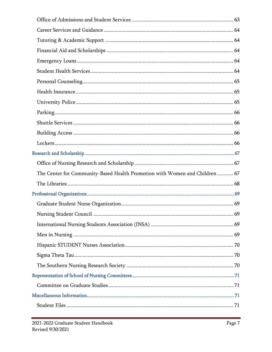| The Center for Community-Based Health Promotion with Women and Children  67 |  |
|-----------------------------------------------------------------------------|--|
|                                                                             |  |
|                                                                             |  |
|                                                                             |  |
|                                                                             |  |
|                                                                             |  |
|                                                                             |  |
|                                                                             |  |
|                                                                             |  |
|                                                                             |  |
|                                                                             |  |
|                                                                             |  |
|                                                                             |  |
|                                                                             |  |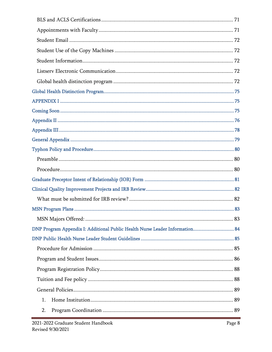| DNP Program Appendix I: Additional Public Health Nurse Leader Information 84 |  |
|------------------------------------------------------------------------------|--|
|                                                                              |  |
|                                                                              |  |
|                                                                              |  |
|                                                                              |  |
|                                                                              |  |
|                                                                              |  |
| 1.                                                                           |  |
| 2.                                                                           |  |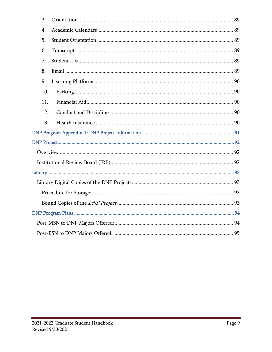| 3.               |  |
|------------------|--|
| $\overline{4}$ . |  |
| 5.               |  |
| 6.               |  |
| 7.               |  |
| 8.               |  |
| 9.               |  |
| 10.              |  |
| 11.              |  |
| 12.              |  |
| 13.              |  |
|                  |  |
|                  |  |
|                  |  |
|                  |  |
|                  |  |
|                  |  |
|                  |  |
|                  |  |
|                  |  |
|                  |  |
|                  |  |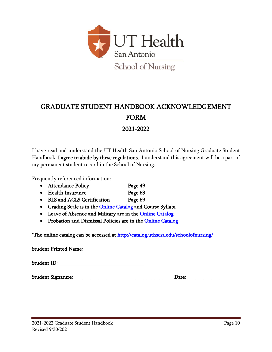

# <span id="page-9-0"></span>GRADUATE STUDENT HANDBOOK ACKNOWLEDGEMENT FORM 2021-2022

I have read and understand the UT Health San Antonio School of Nursing Graduate Student Handbook. I agree to abide by these regulations. I understand this agreement will be a part of my permanent student record in the School of Nursing.

Frequently referenced information:

- Attendance Policy Page 49
- Health Insurance Page 63
- BLS and ACLS Certification Page 69
- Grading Scale is in the **Online Catalog** and Course Syllabi
- Leave of Absence and Military are in the Online Catalog
- Probation and Dismissal Policies are in the [Online Catalog](http://catalog.uthscsa.edu/schoolofnursing/dnp/#programpoliciestext)

\*The online catalog can be accessed at http://catalog.uthscsa.edu/schoolofnursing/

Student Printed Name: \_\_\_\_\_\_\_\_\_\_\_\_\_\_\_\_\_\_\_\_\_\_\_\_\_\_\_\_\_\_\_\_\_\_\_\_\_\_\_\_\_\_\_\_\_\_\_\_\_\_\_\_\_\_ Student ID: \_\_\_\_\_\_\_\_\_\_\_\_\_\_\_\_\_\_\_\_\_\_\_\_\_\_\_\_\_\_\_\_

Student Signature: \_\_\_\_\_\_\_\_\_\_\_\_\_\_\_\_\_\_\_\_\_\_\_\_\_\_\_\_\_\_\_\_\_\_\_\_\_ Date: \_\_\_\_\_\_\_\_\_\_\_\_\_\_\_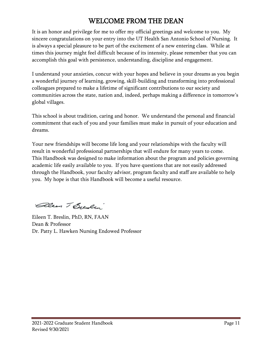# WELCOME FROM THE DEAN

<span id="page-10-0"></span>It is an honor and privilege for me to offer my official greetings and welcome to you. My sincere congratulations on your entry into the UT Health San Antonio School of Nursing. It is always a special pleasure to be part of the excitement of a new entering class. While at times this journey might feel difficult because of its intensity, please remember that you can accomplish this goal with persistence, understanding, discipline and engagement.

I understand your anxieties, concur with your hopes and believe in your dreams as you begin a wonderful journey of learning, growing, skill-building and transforming into professional colleagues prepared to make a lifetime of significant contributions to our society and communities across the state, nation and, indeed, perhaps making a difference in tomorrow's global villages.

This school is about tradition, caring and honor. We understand the personal and financial commitment that each of you and your families must make in pursuit of your education and dreams.

Your new friendships will become life long and your relationships with the faculty will result in wonderful professional partnerships that will endure for many years to come. This Handbook was designed to make information about the program and policies governing academic life easily available to you. If you have questions that are not easily addressed through the Handbook, your faculty advisor, program faculty and staff are available to help you. My hope is that this Handbook will become a useful resource.

Glean T Bulen

Eileen T. Breslin, PhD, RN, FAAN Dean & Professor Dr. Patty L. Hawken Nursing Endowed Professor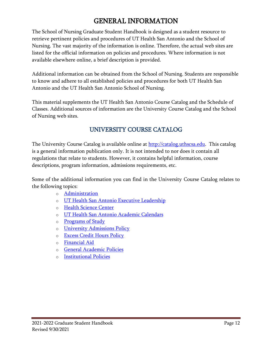# GENERAL INFORMATION

<span id="page-11-0"></span>The School of Nursing Graduate Student Handbook is designed as a student resource to retrieve pertinent policies and procedures of UT Health San Antonio and the School of Nursing. The vast majority of the information is online. Therefore, the actual web sites are listed for the official information on policies and procedures. Where information is not available elsewhere online, a brief description is provided.

Additional information can be obtained from the School of Nursing. Students are responsible to know and adhere to all established policies and procedures for both UT Health San Antonio and the UT Health San Antonio School of Nursing.

This material supplements the UT Health San Antonio Course Catalog and the Schedule of Classes. Additional sources of information are the University Course Catalog and the School of Nursing web sites.

## UNIVERSITY COURSE CATALOG

<span id="page-11-1"></span>The University Course Catalog is available online at **http://catalog.uthscsa.edu**. This catalog is a general information publication only. It is not intended to nor does it contain all regulations that relate to students. However, it contains helpful information, course descriptions, program information, admissions requirements, etc.

Some of the additional information you can find in the University Course Catalog relates to the following topics:

- o [Administration](http://catalog.uthscsa.edu/generalinformation/administration/)
- o [UT Health San Antonio Executive Leadership](http://catalog.uthscsa.edu/generalinformation/uthealthsciencecenterexecutiveleadership/)
- o [Health Science Center](http://catalog.uthscsa.edu/generalinformation/healthsciencecenter/)
- o UT Health San Antonio [Academic Calendars](http://catalog.uthscsa.edu/generalinformation/uthscsaacademiccalendars/)
- o [Programs of Study](http://catalog.uthscsa.edu/generalinformation/programsofstudy/)
- o [University Admissions Policy](http://catalog.uthscsa.edu/generalinformation/universityadmissionspolicy/)
- o [Excess Credit Hours Policy](http://catalog.uthscsa.edu/generalinformation/excesscredithourspolicy/)
- o [Financial Aid](http://catalog.uthscsa.edu/generalinformation/financialaid/)
- o General [Academic Policies](http://catalog.uthscsa.edu/generalinformation/generalacademicpolicies/)
- o [Institutional Policies](http://catalog.uthscsa.edu/generalinformation/institutionalpolicies/)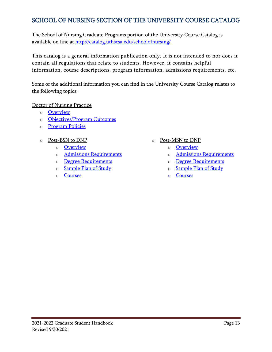## <span id="page-12-0"></span>SCHOOL OF NURSING SECTION OF THE UNIVERSITY COURSE CATALOG

The School of Nursing Graduate Programs portion of the University Course Catalog is available on line at<http://catalog.uthscsa.edu/schoolofnursing/>

This catalog is a general information publication only. It is not intended to nor does it contain all regulations that relate to students. However, it contains helpful information, course descriptions, program information, admissions requirements, etc.

Some of the additional information you can find in the University Course Catalog relates to the following topics:

Doctor of Nursing Practice

- o [Overview](http://catalog.uthscsa.edu/schoolofnursing/dnp/)
- o [Objectives/Program Outcomes](http://catalog.uthscsa.edu/schoolofnursing/dnp/#objectivesprogramoutcomestext)
- o [Program Policies](http://catalog.uthscsa.edu/schoolofnursing/dnp/#programpoliciestext)
- o Post-BSN to DNP
	- o [Overview](http://catalog.uthscsa.edu/schoolofnursing/dnp/post-bsn/)
	- o [Admissions Requirements](http://catalog.uthscsa.edu/schoolofnursing/dnp/post-bsn/#admissionsrequirementstext)
	- o [Degree Requirements](http://catalog.uthscsa.edu/schoolofnursing/dnp/post-bsn/#degreerequirementstext)
	- o [Sample Plan of Study](http://catalog.uthscsa.edu/schoolofnursing/dnp/post-bsn/#sampleplanofstudytext)
	- o [Courses](http://catalog.uthscsa.edu/schoolofnursing/dnp/post-bsn/#coursestext)
- o Post-MSN to DNP
	- o [Overview](http://catalog.uthscsa.edu/schoolofnursing/dnp/post-msn/)
	- o [Admissions Requirements](http://catalog.uthscsa.edu/schoolofnursing/dnp/post-msn/#admissionrequirementstext)
	- o [Degree Requirements](http://catalog.uthscsa.edu/schoolofnursing/dnp/post-msn/#degreerequirementstext)
	- o [Sample Plan of Study](http://catalog.uthscsa.edu/schoolofnursing/dnp/post-msn/#sampleplanofstudytext)
	- o [Courses](http://catalog.uthscsa.edu/schoolofnursing/dnp/post-msn/#coursestext)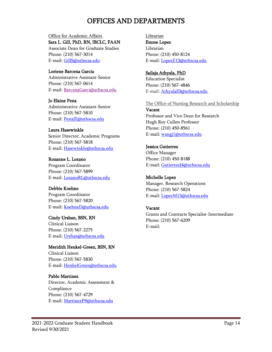## OFFICES AND DEPARTMENTS

#### <span id="page-13-0"></span>Office for Academic Affairs

Sara L. Gill, PhD, RN, IBCLC, FAAN Associate Dean for Graduate Studies Phone: (210) 567-3014 E-mail[: GillS@uthscsa.edu](mailto:GillS@uthscsa.edu)

#### Loriene Barcena Garcia

Administrative Assistant-Senior Phone: (210) 567-0614 E-mail: [BarcenaGarci@uthscsa.edu](mailto:BarcenaGarci@uthscsa.edu)

#### Jo Elaine Pena

Administrative Assistant-Senior Phone: (210) 567-5810 E-mail[: PenaJE@uthscsa.edu](mailto:PenaJE@uthscsa.edu)

#### Laura Hasewinkle

Senior Director, Academic Programs Phone: (210) 567-5818 E-mail[: Hasewinkle@uthscsa.edu](mailto:Hasewinkle@uthscsa.edu)

#### Roxanne L. Lozano

Program Coordinator Phone: (210) 567-5899 E-mail[: LozanoRL@uthscsa.edu](mailto:LozanoRL@uthscsa.edu)

#### Debbie Koehne

Program Coordinator Phone: (210) 567-5820 E-mail[: KoehneD@uthscsa.edu](mailto:KoehneD@uthscsa.edu)

#### Cindy Urshan, BSN, RN

Clinical Liaison Phone: (210) 567-2275 E-mail[: Urshan@uthscsa.edu](mailto:Urshan@uthscsa.edu) 

#### Meridith Henkel-Green, BSN, RN

Clinical Liaison Phone: (210) 567-5830 E-mail[: HenkelGreen@uthscsa.edu](mailto:HenkelGreen@uthscsa.edu)

#### Pablo Martinez

Director, Academic Assessment & Compliance Phone: (210) 567-4729 E-mail[: MartinezP9@uthscsa.edu](mailto:MartinezP9@uthscsa.edu)

**Librarian** Emme Lopez Librarian Phone: (210) 450-8124 E-mail: [LopezE13@uthscsa.edu](mailto:LopezE13@uthscsa.edu)

#### Sailaja Athyala, PhD

Education Specialist Phone: (210) 567-4846 E-mail: [AthyalaS3@uthscsa.edu](mailto:AthyalaS3@uthscsa.edu)

#### The Office of Nursing Research and Scholarship

Vacant Professor and Vice Dean for Research Hugh Roy Cullen Professor Phone: (210) 450-8561 E-mail: [wangj1@uthscsa.edu](mailto:wangj1@uthscsa.edu)

#### Jessica Gutierrez

Office Manager Phone: (210) 450-8188 E-mail: [GutierrezJ4@uthscsa.edu](mailto:GutierrezJ4@uthscsa.edu)

#### Michelle Lopez

Manager, Research Operations Phone: (210) 567-5824 E-mail: [LopezM13@uthscsa.edu](mailto:LopezM13@uthscsa.edu)

#### Vacant

Grants and Contracts Specialist-Intermediate Phone: (210) 567-6209 E-mail: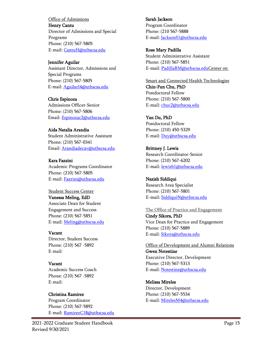Office of Admissions Henry Cantu Director of Admissions and Special Programs Phone: (210) 567-5805 E-mail[: CantuH@uthscsa.edu](mailto:CantuH@uthscsa.edu)

#### Jennifer Aguilar

Assistant Director, Admissions and Special Programs Phone: (210) 567-5805 E-mail: [AguilarJ4@uthscsa.edu](mailto:AguilarJ4@uthscsa.edu)

Chris Espinoza

Admissions Officer-Senior Phone: (210) 567-5806 Email: [Espinozac2@uthscsa.edu](mailto:Espinozac2@uthscsa.edu)

#### Aida Natalia Arandia

Student Administrative Assistant Phone: (210) 567-0341 Email: [Arandiadecav@uthscsa.edu](mailto:Arandiadecav@uthscsa.edu)

#### Kara Fazzini

Academic Programs Coordinator Phone: (210) 567-5805 E-mail[: Fazzini@uthscsa.edu](mailto:Fazzini@uthscsa.edu)

#### Student Success Center Vanessa Meling, EdD

Associate Dean for Student Engagement and Success Phone: (210) 567-5851 E-mail[: Meling@uthscsa.edu](mailto:Meling@uthscsa.edu)

#### Vacant

Director, Student Success Phone: (210) 567 -5892 E-mail:

#### Vacant

Academic Success Coach Phone: (210) 567 -5892 E-mail:

#### Christina Ramirez

Program Coordinator Phone: (210) 567-5892 E-mail[: RamirezC18@uthscsa.edu](mailto:RamirezC18@uthscsa.edu) Sarah Jackson Program Coordinator Phone: (210 567-5888 E-mail: [JacksonS1@uthscsa.edu](mailto:JacksonS1@uthscsa.edu)

#### Rose Mary Padilla

Student Administrative Assistant Phone: (210) 567-5851 E-mail: [PadillaRM@uthscsa.eduC](mailto:PadillaRM@uthscsa.edu)enter on

Smart and Connected Health Technologies Chin-Fun Chu, PhD Postdoctoral Fellow Phone: (210) 567-5800 E-mail: [chuc2@uthscsa.edu](mailto:chuc2@uthscsa.edu)

#### Yan Du, PhD

Postdoctoral Fellow Phone: (210) 450-5329 E-mail: [Duy@uthscsa.edu](mailto:Duy@uthscsa.edu)

Brittney J. Lewis Research Coordinator-Senior Phone: (210) 567-6202 E-mail: [lewisb1@uthscsa.edu](mailto:lewisb1@uthscsa.edu)

Nazish Siddiqui Research Area Specialist Phone: (210) 567-5801 E-mail: [SiddiquiN@uthscsa.edu](mailto:SiddiquiN@uthscsa.edu)

#### The Office of Practice and Engagement

Cindy Sikora, PhD Vice Dean for Practice and Engagement Phone: (210) 567-5889 E-mail: [Sikora@uthscsa.edu](mailto:Sikora@uthscsa.edu)

#### Office of Development and Alumni Relations Gwen Notestine Executive Director, Development Phone: (210) 567-5313

E-mail: [Notestine@uthscsa.edu](mailto:Notestine@uthscsa.edu)

#### Melissa Mireles

Director, Development Phone: (210) 567-5534 E-mail: [MirelesM4@uthscsa.edu](mailto:MirelesM4@uthscsa.edu)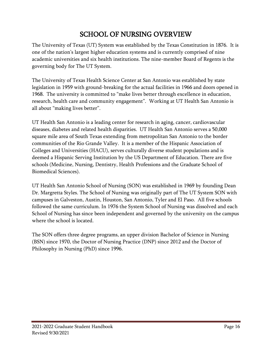# SCHOOL OF NURSING OVERVIEW

<span id="page-15-0"></span>The University of Texas (UT) System was established by the Texas Constitution in 1876. It is one of the nation's largest higher education systems and is currently comprised of nine academic universities and six health institutions. The nine-member Board of Regents is the governing body for The UT System.

The University of Texas Health Science Center at San Antonio was established by state legislation in 1959 with ground-breaking for the actual facilities in 1966 and doors opened in 1968. The university is committed to "make lives better through excellence in education, research, health care and community engagement". Working at UT Health San Antonio is all about "making lives better".

UT Health San Antonio is a leading center for research in aging, cancer, cardiovascular diseases, diabetes and related health disparities. UT Health San Antonio serves a 50,000 square mile area of South Texas extending from metropolitan San Antonio to the border communities of the Rio Grande Valley. It is a member of the Hispanic Association of Colleges and Universities (HACU), serves culturally diverse student populations and is deemed a Hispanic Serving Institution by the US Department of Education. There are five schools (Medicine, Nursing, Dentistry, Health Professions and the Graduate School of Biomedical Sciences).

UT Health San Antonio School of Nursing (SON) was established in 1969 by founding Dean Dr. Margretta Styles. The School of Nursing was originally part of The UT System SON with campuses in Galveston, Austin, Houston, San Antonio, Tyler and El Paso. All five schools followed the same curriculum. In 1976 the System School of Nursing was dissolved and each School of Nursing has since been independent and governed by the university on the campus where the school is located.

The SON offers three degree programs, an upper division Bachelor of Science in Nursing (BSN) since 1970, the Doctor of Nursing Practice (DNP) since 2012 and the Doctor of Philosophy in Nursing (PhD) since 1996.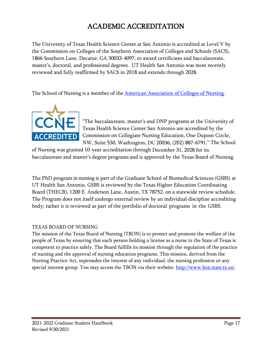# ACADEMIC ACCREDITATION

<span id="page-16-0"></span>The University of Texas Health Science Center at San Antonio is accredited at Level V by the Commission on Colleges of the Southern Association of Colleges and Schools (SACS), 1866 Southern Lane, Decatur, GA 30033-4097, to award certificates and baccalaureate, master's, doctoral, and professional degrees. UT Health San Antonio was most recently reviewed and fully reaffirmed by SACS in 2018 and extends through 2028.

The School of Nursing is a member of the American [Association](http://www.aacn.nche.edu/) of Colleges of Nursing.



"The baccalaureate, master's and DNP programs at the University of Texas Health Science Center San Antonio are accredited by the Commission on Collegiate Nursing Education, One Dupont Circle, NW, Suite 530, Washington, DC 20036, (202) 887-6791." The School

of Nursing was granted 10-year accreditation through December 31, 2028 for its baccalaureate and master's degree programs and is approved by the Texas Board of Nursing.

The PhD program in nursing is part of the Graduate School of Biomedical Sciences (GSBS) at UT Health San Antonio. GSBS is reviewed by the Texas Higher Education Coordinating Board (THECB), 1200 E. Anderson Lane, Austin, TX 78752, on a statewide review schedule. The Program does not itself undergo external review by an individual discipline accrediting body; rather it is reviewed as part of the portfolio of doctoral programs in the GSBS.

### TEXAS BOARD OF NURSING

The mission of the Texas Board of Nursing (TBON) is to protect and promote the welfare of the people of Texas by ensuring that each person holding a license as a nurse in the State of Texas is competent to practice safely. The Board fulfills its mission through the regulation of the practice of nursing and the approval of nursing education programs. This mission, derived from the Nursing Practice Act, supersedes the interest of any individual, the nursing profession or any special interest group. You may access the TBON via their website: [http://www.bon.state.tx.us/.](http://www.bon.state.tx.us/)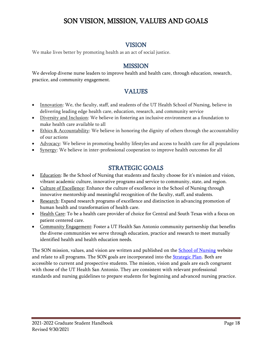# <span id="page-17-0"></span>SON VISION, MISSION, VALUES AND GOALS

## VISION

<span id="page-17-1"></span>We make lives better by promoting health as an act of social justice.

## MISSION

<span id="page-17-2"></span>We develop diverse nurse leaders to improve health and health care, through education, research, practice, and community engagement.

## **VALUES**

- <span id="page-17-3"></span>• Innovation: We, the faculty, staff, and students of the UT Health School of Nursing, believe in delivering leading edge health care, education, research, and community service
- Diversity and Inclusion: We believe in fostering an inclusive environment as a foundation to make health care available to all
- Ethics & Accountability: We believe in honoring the dignity of others through the accountability of our actions
- Advocacy: We believe in promoting healthy lifestyles and access to health care for all populations
- Synergy: We believe in inter-professional cooperation to improve health outcomes for all

## STRATEGIC GOALS

- <span id="page-17-4"></span>• Education: Be the School of Nursing that students and faculty choose for it's mission and vision, vibrant academic culture, innovative programs and service to community, state, and region.
- Culture of Excellence: Enhance the culture of excellence in the School of Nursing through innovative mentorship and meaningful recognition of the faculty, staff, and students.
- Research: Expand research programs of excellence and distinction in advancing promotion of human health and transformation of health care.
- Health Care: To be a health care provider of choice for Central and South Texas with a focus on patient centered care.
- Community Engagement: Foster a UT Health San Antonio community partnership that benefits the diverse communities we serve through education, practice and research to meet mutually identified health and health education needs.

The SON mission, values, and vision are written and published on the **School of Nursing** website and relate to all programs. The SON goals are incorporated into the **Strategic Plan**. Both are accessible to current and prospective students. The mission, vision and goals are each congruent with those of the [UT](http://www.uthscsa.edu/about.shtml) Health San Antonio. They are consistent with relevant professional standards and nursing guidelines to prepare students for beginning and advanced nursing practice.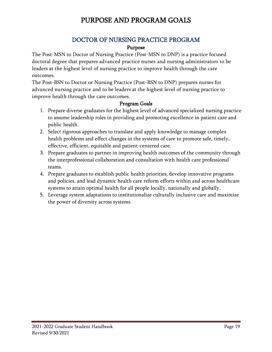# PURPOSE AND PROGRAM GOALS

## DOCTOR OF NURSING PRACTICE PROGRAM

#### Purpose

<span id="page-18-2"></span><span id="page-18-1"></span><span id="page-18-0"></span>The Post-MSN to Doctor of Nursing Practice (Post-MSN to DNP) is a practice focused doctoral degree that prepares advanced practice nurses and nursing administrators to be leaders at the highest level of nursing practice to improve health through the care outcomes.

The Post-BSN to Doctor or Nursing Practice (Post-BSN to DNP) prepares nurses for advanced nursing practice and to be leaders at the highest level of nursing practice to improve health through the care outcomes.

#### Program Goals

- <span id="page-18-3"></span>1. Prepare diverse graduates for the highest level of advanced specialized nursing practice to assume leadership roles in providing and promoting excellence in patient care and public health.
- 2. Select rigorous approaches to translate and apply knowledge to manage complex health problems and effect changes in the systems of care to promote safe, timely, effective, efficient, equitable and patient-centered care.
- 3. Prepare graduates to partner in improving health outcomes of the community through the interprofessional collaboration and consultation with health care professional teams.
- 4. Prepare graduates to establish public health priorities, develop innovative programs and policies, and lead dynamic health care reform efforts within and across healthcare systems to attain optimal health for all people locally, nationally and globally.
- 5. Leverage system adaptations to institutionalize culturally inclusive care and maximize the power of diversity across systems.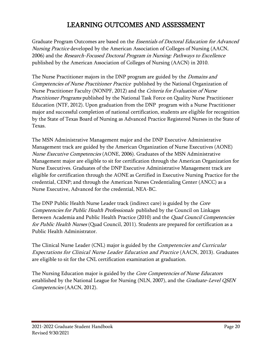## LEARNING OUTCOMES AND ASSESSMENT

<span id="page-19-0"></span>Graduate Program Outcomes are based on the *Essentials of Doctoral Education for Advanced* [Nursing Practice](http://www.aacn.nche.edu/publications/position/DNPEssentials.pdf) developed by the American Association of Colleges of Nursing (AACN, 2006) and the [Research-Focused Doctoral Program in Nursing: Pathways to Excellence](http://www.aacn.nche.edu/education-resources/PhDPosition.pdf) published by the American Association of Colleges of Nursing (AACN) in 2010.

The Nurse Practitioner majors in the DNP program are guided by the *Domains and* [Competencies of Nurse Practitioner Practice](http://www.nonpf.com/associations/10789/files/NPCoreCompetenciesFinal2012.pdf) published by the National Organization of Nurse Practitioner Faculty (NONPF, 2012) and the Criteria for Evaluation of Nurse *[Practitioner Programs](http://www.aacn.nche.edu/education-resources/evalcriteria2012.pdf)* published by the National Task Force on Quality Nurse Practitioner Education (NTF, 2012). Upon graduation from the DNP program with a Nurse Practitioner major and successful completion of national certification, students are eligible for recognition by the State of Texas Board of Nursing as Advanced Practice Registered Nurses in the State of Texas.

The MSN Administrative Management major and the DNP Executive Administrative Management track are guided by the [American Organization of Nurse Executives \(AONE\)](http://www.aone.org/resources/leadership%20tools/PDFs/AONE_NEC.pdf)  [Nurse Executive Competencies](http://www.aone.org/resources/leadership%20tools/PDFs/AONE_NEC.pdf) (AONE, 2006). Graduates of the MSN Administrative Management major are eligible to sit for certification through the American Organization for Nurse Executives. Graduates of the DNP Executive Administrative Management track are eligible for certification through the AONE as Certified in Executive Nursing Practice for the credential, CENP; and through the American Nurses Credentialing Center (ANCC) as a Nurse Executive, Advanced for the credential, NEA-BC.

The DNP Public Health Nurse Leader track (indirect care) is guided by the *Core* [Competencies for Public Health Professionals](http://www.phf.org/resourcestools/pages/core_public_health_competencies.aspx) published by the Council on Linkages Between Academia and Public Health Practice (2010) and the Quad Council Competencies [for Public Health Nurses](http://www.achne.org/files/quad%20council/quadcouncilcompetenciesforpublichealthnurses.pdf) (Quad Council, 2011). Students are prepared for certification as a Public Health Administrator.

The Clinical Nurse Leader (CNL) major is guided by the *Competencies and Curricular* [Expectations for Clinical Nurse Leader Education and Practice](http://www.aacn.nche.edu/publications/white-papers/cnl) (AACN, 2013). Graduates are eligible to sit for the CNL certification examination at graduation.

The Nursing Education major is guided by the *[Core Competencies of Nurse Educators](http://www.nln.org/profdev/pdf/corecompetencies.pdf)* established by the National League for Nursing (NLN, 2007), and the *Graduate-Level QSEN* [Competencies](http://www.aacn.nche.edu/faculty/qsen/competencies.pdf) (AACN, 2012).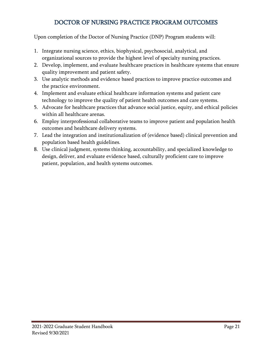## DOCTOR OF NURSING PRACTICE PROGRAM OUTCOMES

<span id="page-20-0"></span>Upon completion of the Doctor of Nursing Practice (DNP) Program students will:

- 1. Integrate nursing science, ethics, biophysical, psychosocial, analytical, and organizational sources to provide the highest level of specialty nursing practices.
- 2. Develop, implement, and evaluate healthcare practices in healthcare systems that ensure quality improvement and patient safety.
- 3. Use analytic methods and evidence based practices to improve practice outcomes and the practice environment.
- 4. Implement and evaluate ethical healthcare information systems and patient care technology to improve the quality of patient health outcomes and care systems.
- 5. Advocate for healthcare practices that advance social justice, equity, and ethical policies within all healthcare arenas.
- 6. Employ interprofessional collaborative teams to improve patient and population health outcomes and healthcare delivery systems.
- 7. Lead the integration and institutionalization of (evidence based) clinical prevention and population based health guidelines.
- 8. Use clinical judgment, systems thinking, accountability, and specialized knowledge to design, deliver, and evaluate evidence based, culturally proficient care to improve patient, population, and health systems outcomes.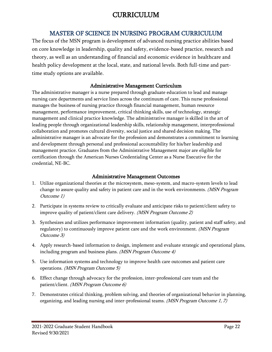# CURRICULUM

## <span id="page-21-0"></span>MASTER OF SCIENCE IN NURSING PROGRAM CURRICULUM

<span id="page-21-1"></span>The focus of the MSN program is development of advanced nursing practice abilities based on core knowledge in leadership, quality and safety, evidence-based practice, research and theory, as well as an understanding of financial and economic evidence in healthcare and health policy development at the local, state, and national levels. Both full-time and parttime study options are available.

### Administrative Management Curriculum

<span id="page-21-2"></span>The administrative manager is a nurse prepared through graduate education to lead and manage nursing care departments and service lines across the continuum of care. This nurse professional manages the business of nursing practice through financial management, human resource management, performance improvement, critical thinking skills, use of technology, strategic management and clinical practice knowledge. The administrative manager is skilled in the art of leading people through organizational leadership skills, relationship management, interprofessional collaboration and promotes cultural diversity, social justice and shared decision making. The administrative manager is an advocate for the profession and demonstrates a commitment to learning and development through personal and professional accountability for his/her leadership and management practice. Graduates from the Administrative Management major are eligible for certification through the American Nurses Credentialing Center as a Nurse Executive for the credential, NE-BC.

#### Administrative Management Outcomes

- <span id="page-21-3"></span>1. Utilize organizational theories at the microsystem, meso-system, and macro-system levels to lead change to assure quality and safety in patient care and in the work environments. (MSN Program Outcome 1)
- 2. Participate in systems review to critically evaluate and anticipate risks to patient/client safety to improve quality of patient/client care delivery. (MSN Program Outcome 2)
- 3. Synthesizes and utilizes performance improvement information (quality, patient and staff safety, and regulatory) to continuously improve patient care and the work environment. (MSN Program Outcome 3)
- 4. Apply research-based information to design, implement and evaluate strategic and operational plans, including program and business plans. (MSN Program Outcome 4)
- 5. Use information systems and technology to improve health care outcomes and patient care operations. (MSN Program Outcome 5)
- 6. Effect change through advocacy for the profession, inter-professional care team and the patient/client. (MSN Program Outcome 6)
- 7. Demonstrates critical thinking, problem solving, and theories of organizational behavior in planning, organizing, and leading nursing and inter-professional teams. (MSN Program Outcome 1, 7)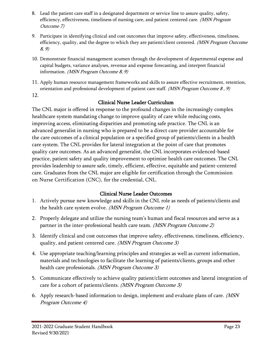- 8. Lead the patient care staff in a designated department or service line to assure quality, safety, efficiency, effectiveness, timeliness of nursing care, and patient centered care. *(MSN Program* Outcome 7)
- 9. Participate in identifying clinical and cost outcomes that improve safety, effectiveness, timeliness, efficiency, quality, and the degree to which they are patient/client centered. *(MSN Program Outcome*) 8, 9)
- 10. Demonstrate financial management acumen through the development of departmental expense and capital budgets, variance analyses, revenue and expense forecasting, and interpret financial information. (MSN Program Outcome 8, 9)
- 11. Apply human resource management frameworks and skills to assure effective recruitment, retention, orientation and professional development of patient care staff. *(MSN Program Outcome 8, 9)*
- <span id="page-22-0"></span>12.

## Clinical Nurse Leader Curriculum

The CNL major is offered in response to the profound changes in the increasingly complex healthcare system mandating change to improve quality of care while reducing costs, improving access, eliminating disparities and promoting safe practice. The CNL is an advanced generalist in nursing who is prepared to be a direct care provider accountable for the care outcomes of a clinical population or a specified group of patients/clients in a health care system. The CNL provides for lateral integration at the point of care that promotes quality care outcomes. As an advanced generalist, the CNL incorporates evidenced-based practice, patient safety and quality improvement to optimize health care outcomes. The CNL provides leadership to assure safe, timely, efficient, effective, equitable and patient-centered care. Graduates from the CNL major are eligible for certification through the Commission on Nurse Certification (CNC), for the credential, CNL.

## Clinical Nurse Leader Outcomes

- <span id="page-22-1"></span>1. Actively pursue new knowledge and skills in the CNL role as needs of patients/clients and the health care system evolve. (MSN Program Outcome 1)
- 2. Properly delegate and utilize the nursing team's human and fiscal resources and serve as a partner in the inter-professional health care team. (MSN Program Outcome 2)
- 3. Identify clinical and cost outcomes that improve safety, effectiveness, timeliness, efficiency, quality, and patient centered care. (MSN Program Outcome 3)
- 4. Use appropriate teaching/learning principles and strategies as well as current information, materials and technologies to facilitate the learning of patients/clients, groups and other health care professionals. *(MSN Program Outcome 3)*
- 5. Communicate effectively to achieve quality patient/client outcomes and lateral integration of care for a cohort of patients/clients. (MSN Program Outcome 3)
- 6. Apply research-based information to design, implement and evaluate plans of care. (MSN Program Outcome 4)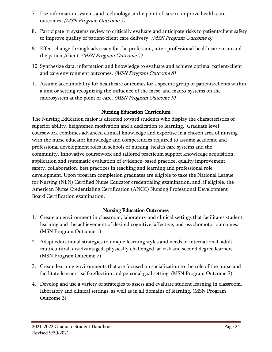- 7. Use information systems and technology at the point of care to improve health care outcomes. (MSN Program Outcome 5)
- 8. Participate in systems review to critically evaluate and anticipate risks to patient/client safety to improve quality of patient/client care delivery. *(MSN Program Outcome 6)*
- 9. Effect change through advocacy for the profession, inter-professional health care team and the patient/client. (MSN Program Outcome 7)
- 10. Synthesize data, information and knowledge to evaluate and achieve optimal patient/client and care environment outcomes. (MSN Program Outcome 8)
- 11. Assume accountability for healthcare outcomes for a specific group of patients/clients within a unit or setting recognizing the influence of the meso-and macro-systems on the microsystem at the point of care. *(MSN Program Outcome 9)*

## Nursing Education Curriculum

<span id="page-23-0"></span>The Nursing Education major is directed toward students who display the characteristics of superior ability, heightened motivation and a dedication to learning. Graduate level coursework combines advanced clinical knowledge and expertise in a chosen area of nursing with the nurse educator knowledge and competencies required to assume academic and professional development roles in schools of nursing, health care systems and the community. Innovative coursework and tailored practicum support knowledge acquisition, application and systematic evaluation of evidence-based practice, quality improvement, safety, collaboration, best practices in teaching and learning and professional role development. Upon program completion graduates are eligible to take the National League for Nursing (NLN) Certified Nurse Educator credentialing examination, and, if eligible, the American Nurse Credentialing Certification (ANCC) Nursing Professional Development Board Certification examination.

### Nursing Education Outcomes

- <span id="page-23-1"></span>1. Create an environment in classroom, laboratory and clinical settings that facilitates student learning and the achievement of desired cognitive, affective, and psychomotor outcomes. (MSN Program Outcome 1)
- 2. Adapt educational strategies to unique learning styles and needs of international, adult, multicultural, disadvantaged, physically challenged, at-risk and second degree learners. (MSN Program Outcome 7)
- 3. Create learning environments that are focused on socialization to the role of the nurse and facilitate learners' self-reflection and personal goal setting. (MSN Program Outcome 7)
- 4. Develop and use a variety of strategies to assess and evaluate student learning in classroom, laboratory and clinical settings, as well as in all domains of learning. (MSN Program Outcome 3)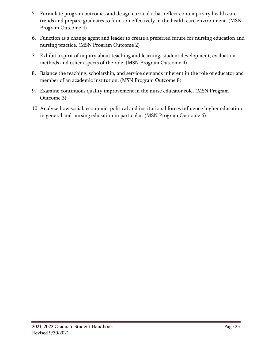- 5. Formulate program outcomes and design curricula that reflect contemporary health care trends and prepare graduates to function effectively in the health care environment. (MSN Program Outcome 4)
- 6. Function as a change agent and leader to create a preferred future for nursing education and nursing practice. (MSN Program Outcome 2)
- 7. Exhibit a spirit of inquiry about teaching and learning, student development, evaluation methods and other aspects of the role. (MSN Program Outcome 4)
- 8. Balance the teaching, scholarship, and service demands inherent in the role of educator and member of an academic institution. (MSN Program Outcome 8)
- 9. Examine continuous quality improvement in the nurse educator role. (MSN Program Outcome 3)
- 10. Analyze how social, economic, political and institutional forces influence higher education in general and nursing education in particular. (MSN Program Outcome 6)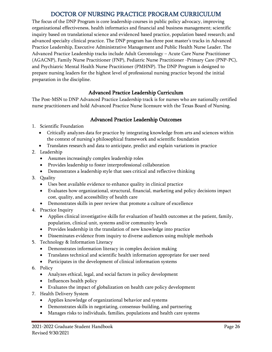## DOCTOR OF NURSING PRACTICE PROGRAM CURRICULUM

<span id="page-25-0"></span>The focus of the DNP Program is core leadership courses in public policy advocacy, improving organizational effectiveness, health informatics and financial and business management; scientific inquiry based on translational science and evidenced based practice, population based research; and advanced specialty clinical practice. The DNP program has three post master's tracks in Advanced Practice Leadership, Executive Administrative Management and Public Health Nurse Leader. The Advanced Practice Leadership tracks include Adult Gerontology – Acute Care Nurse Practitioner (AGACNP), Family Nurse Practitioner (FNP), Pediatric Nurse Practitioner -Primary Care (PNP-PC), and Psychiatric Mental Health Nurse Practitioner (PMHNP). The DNP Program is designed to prepare nursing leaders for the highest level of professional nursing practice beyond the initial preparation in the discipline.

## Advanced Practice Leadership Curriculum

<span id="page-25-1"></span>The Post-MSN to DNP Advanced Practice Leadership track is for nurses who are nationally certified nurse practitioners and hold Advanced Practice Nurse licensure with the Texas Board of Nursing.

## Advanced Practice Leadership Outcomes

- <span id="page-25-2"></span>1. Scientific Foundation
	- Critically analyzes data for practice by integrating knowledge from arts and sciences within the context of nursing's philosophical framework and scientific foundation
	- Translates research and data to anticipate, predict and explain variations in practice
- 2. Leadership
	- Assumes increasingly complex leadership roles
	- Provides leadership to foster interprofessional collaboration
	- Demonstrates a leadership style that uses critical and reflective thinking
- 3. Quality
	- Uses best available evidence to enhance quality in clinical practice
	- Evaluates how organizational, structural, financial, marketing and policy decisions impact cost, quality, and accessibility of health care
	- Demonstrates skills in peer review that promote a culture of excellence
- 4. Practice Inquiry
	- Applies clinical investigative skills for evaluation of health outcomes at the patient, family, population, clinical unit, systems and/or community levels
	- Provides leadership in the translation of new knowledge into practice
	- Disseminates evidence from inquiry to diverse audiences using multiple methods
- 5. Technology & Information Literacy
	- Demonstrates information literacy in complex decision making
	- Translates technical and scientific health information appropriate for user need
	- Participates in the development of clinical information systems
- 6. Policy
	- Analyzes ethical, legal, and social factors in policy development
	- Influences health policy
	- Evaluates the impact of globalization on health care policy development
- 7. Health Delivery System
	- Applies knowledge of organizational behavior and systems
	- Demonstrates skills in negotiating, consensus-building, and partnering
	- Manages risks to individuals, families, populations and health care systems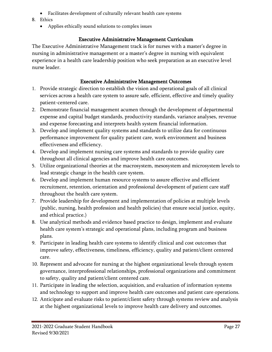- Facilitates development of culturally relevant health care systems
- 8. Ethics
	- Applies ethically sound solutions to complex issues

## Executive Administrative Management Curriculum

<span id="page-26-0"></span>The Executive Administrative Management track is for nurses with a master's degree in nursing in administrative management or a master's degree in nursing with equivalent experience in a health care leadership position who seek preparation as an executive level nurse leader.

## Executive Administrative Management Outcomes

- <span id="page-26-1"></span>1. Provide strategic direction to establish the vision and operational goals of all clinical services across a health care system to assure safe, efficient, effective and timely quality patient-centered care.
- 2. Demonstrate financial management acumen through the development of departmental expense and capital budget standards, productivity standards, variance analyses, revenue and expense forecasting and interprets health system financial information.
- 3. Develop and implement quality systems and standards to utilize data for continuous performance improvement for quality patient care, work environment and business effectiveness and efficiency.
- 4. Develop and implement nursing care systems and standards to provide quality care throughout all clinical agencies and improve health care outcomes.
- 5. Utilize organizational theories at the macrosystem, mesosystem and microsystem levels to lead strategic change in the health care system.
- 6. Develop and implement human resource systems to assure effective and efficient recruitment, retention, orientation and professional development of patient care staff throughout the health care system.
- 7. Provide leadership for development and implementation of policies at multiple levels (public, nursing, health profession and health policies) that ensure social justice, equity, and ethical practice.)
- 8. Use analytical methods and evidence based practice to design, implement and evaluate health care system's strategic and operational plans, including program and business plans.
- 9. Participate in leading health care systems to identify clinical and cost outcomes that improve safety, effectiveness, timeliness, efficiency, quality and patient/client centered care.
- 10. Represent and advocate for nursing at the highest organizational levels through system governance, interprofessional relationships, professional organizations and commitment to safety, quality and patient/client centered care.
- 11. Participate in leading the selection, acquisition, and evaluation of information systems and technology to support and improve health care outcomes and patient care operations.
- 12. Anticipate and evaluate risks to patient/client safety through systems review and analysis at the highest organizational levels to improve health care delivery and outcomes.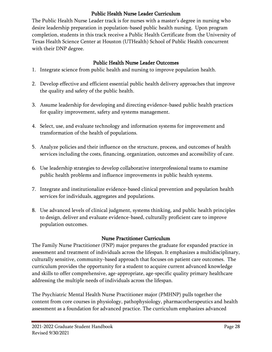## Public Health Nurse Leader Curriculum

<span id="page-27-0"></span>The Public Health Nurse Leader track is for nurses with a master's degree in nursing who desire leadership preparation in population-based public health nursing. Upon program completion, students in this track receive a Public Health Certificate from the University of Texas Health Science Center at Houston (UTHealth) School of Public Health concurrent with their DNP degree.

## Public Health Nurse Leader Outcomes

- <span id="page-27-1"></span>1. Integrate science from public health and nursing to improve population health.
- 2. Develop effective and efficient essential public health delivery approaches that improve the quality and safety of the public health.
- 3. Assume leadership for developing and directing evidence-based public health practices for quality improvement, safety and systems management.
- 4. Select, use, and evaluate technology and information systems for improvement and transformation of the health of populations.
- 5. Analyze policies and their influence on the structure, process, and outcomes of health services including the costs, financing, organization, outcomes and accessibility of care.
- 6. Use leadership strategies to develop collaborative interprofessional teams to examine public health problems and influence improvements in public health systems.
- 7. Integrate and institutionalize evidence-based clinical prevention and population health services for individuals, aggregates and populations.
- 8. Use advanced levels of clinical judgment, systems thinking, and public health principles to design, deliver and evaluate evidence-based, culturally proficient care to improve population outcomes.

## Nurse Practitioner Curriculum

<span id="page-27-2"></span>The Family Nurse Practitioner (FNP) major prepares the graduate for expanded practice in assessment and treatment of individuals across the lifespan. It emphasizes a multidisciplinary, culturally sensitive, community-based approach that focuses on patient care outcomes. The curriculum provides the opportunity for a student to acquire current advanced knowledge and skills to offer comprehensive, age-appropriate, age-specific quality primary healthcare addressing the multiple needs of individuals across the lifespan.

The Psychiatric Mental Health Nurse Practitioner major (PMHNP) pulls together the content from core courses in physiology, pathophysiology, pharmacotherapeutics and health assessment as a foundation for advanced practice. The curriculum emphasizes advanced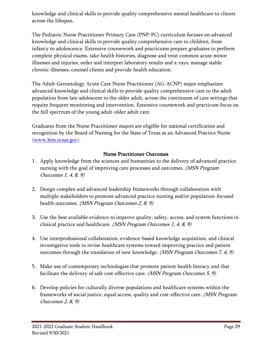knowledge and clinical skills to provide quality comprehensive mental healthcare to clients across the lifespan.

The Pediatric Nurse Practitioner Primary Care (PNP-PC) curriculum focuses on advanced knowledge and clinical skills to provide quality comprehensive care to children, from infancy to adolescence. Extensive coursework and practicums prepare graduates to perform complete physical exams, take health histories, diagnose and treat common acute minor illnesses and injuries, order and interpret laboratory results and x-rays, manage stable chronic illnesses, counsel clients and provide health education.

The Adult-Gerontology Acute Care Nurse Practitioner (AG-ACNP) major emphasizes advanced knowledge and clinical skills to provide quality comprehensive care to the adult population from late adolescent to the older adult, across the continuum of care settings that require frequent monitoring and intervention. Extensive coursework and practicum focus on the full spectrum of the young adult-older adult care.

Graduates from the Nurse Practitioner majors are eligible for national certification and recognition by the Board of Nursing for the State of Texas as an Advanced Practice Nurse [\(www.bon.texas.gov\)](http://www.bon.texas.gov/).

### Nurse Practitioner Outcomes

- <span id="page-28-0"></span>1. Apply knowledge from the sciences and humanities to the delivery of advanced practice nursing with the goal of improving care processes and outcomes. (MSN Program Outcomes 1, 4, 8, 9)
- 2. Design complex and advanced leadership frameworks through collaboration with multiple stakeholders to promote advanced practice nursing and/or population-focused health outcomes. *(MSN Program Outcomes 2, 8, 9)*
- 3. Use the best available evidence to improve quality, safety, access, and system functions in clinical practice and healthcare. (MSN Program Outcomes 1, 4, 8, 9)
- 4. Use interprofessional collaboration, evidence-based knowledge acquisition, and clinical investigative tools to revise healthcare systems toward improving practice and patient outcomes through the translation of new knowledge. *(MSN Program Outcomes 7, 4, 9)*
- 5. Make use of contemporary technologies that promote patient health literacy and that facilitate the delivery of safe cost-effective care. (MSN Program Outcomes 5, 9)
- 6. Develop policies for culturally diverse populations and healthcare systems within the frameworks of social justice, equal access, quality and cost-effective care. *(MSN Program* Outcomes 2, 8, 9)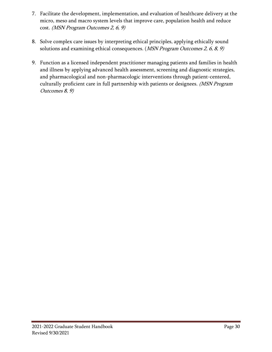- 7. Facilitate the development, implementation, and evaluation of healthcare delivery at the micro, meso and macro system levels that improve care, population health and reduce cost. (MSN Program Outcomes 2, 6, 9)
- 8. Solve complex care issues by interpreting ethical principles, applying ethically sound solutions and examining ethical consequences. (*MSN Program Outcomes 2, 6, 8, 9*)
- 9. Function as a licensed independent practitioner managing patients and families in health and illness by applying advanced health assessment, screening and diagnostic strategies, and pharmacological and non-pharmacologic interventions through patient-centered, culturally proficient care in full partnership with patients or designees. (MSN Program Outcomes 8, 9)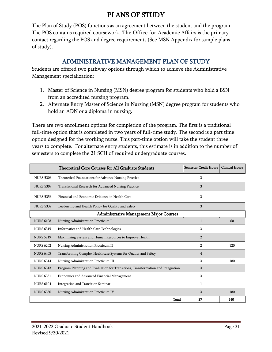# PLANS OF STUDY

<span id="page-30-0"></span>The Plan of Study (POS) functions as an agreement between the student and the program. The POS contains required coursework. The Office for Academic Affairs is the primary contact regarding the POS and degree requirements (See [MSN Appendix](#page-82-0) for sample plans of study).

## ADMINISTRATIVE MANAGEMENT PLAN OF STUDY

<span id="page-30-1"></span>Students are offered two pathway options through which to achieve the Administrative Management specialization:

- 1. Master of Science in Nursing (MSN) degree program for students who hold a BSN from an accredited nursing program.
- 2. Alternate Entry Master of Science in Nursing (MSN) degree program for students who hold an ADN or a diploma in nursing.

There are two enrollment options for completion of the program. The first is a traditional full-time option that is completed in two years of full-time study. The second is a part time option designed for the working nurse. This part-time option will take the student three years to complete. For alternate entry students, this estimate is in addition to the number of semesters to complete the 21 SCH of required undergraduate courses.

|                  | <b>Theoretical Core Courses for All Graduate Students</b>                       | <b>Semester Credit Hours</b> | <b>Clinical Hours</b> |
|------------------|---------------------------------------------------------------------------------|------------------------------|-----------------------|
| <b>NURS 5306</b> | Theoretical Foundations for Advance Nursing Practice                            | 3                            |                       |
| <b>NURS 5307</b> | Translational Research for Advanced Nursing Practice                            | 3                            |                       |
| <b>NURS 5356</b> | Financial and Economic Evidence in Health Care                                  | 3                            |                       |
| <b>NURS 5339</b> | Leadership and Health Policy for Quality and Safety                             | 3                            |                       |
|                  | <b>Administrative Management Major Courses</b>                                  |                              |                       |
| <b>NURS 6108</b> | Nursing Administration Practicum I                                              | $\mathbf{1}$                 | 60                    |
| <b>NURS 6315</b> | Informatics and Health Care Technologies                                        | 3                            |                       |
| <b>NURS 5219</b> | Maximizing System and Human Resources to Improve Health                         | $\overline{2}$               |                       |
| <b>NURS 6202</b> | Nursing Administration Practicum II                                             | $\overline{2}$               | 120                   |
| <b>NURS 6405</b> | Transforming Complex Healthcare Systems for Quality and Safety                  | $\overline{4}$               |                       |
| <b>NURS 6314</b> | Nursing Administration Practicum III                                            | 3                            | 180                   |
| <b>NURS 6313</b> | Program Planning and Evaluation for Transitions, Transformation and Integration | 3                            |                       |
| <b>NURS 6331</b> | Economics and Advanced Financial Management                                     | 3                            |                       |
| <b>NURS 6104</b> | Integration and Transition Seminar                                              | $\mathbf{1}$                 |                       |
| <b>NURS 6330</b> | Nursing Administration Practicum IV                                             | 3                            | 180                   |
|                  | Total                                                                           | 37                           | 540                   |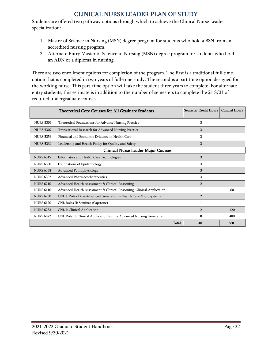## CLINICAL NURSE LEADER PLAN OF STUDY

<span id="page-31-0"></span>Students are offered two pathway options through which to achieve the Clinical Nurse Leader specialization:

- 1. Master of Science in Nursing (MSN) degree program for students who hold a BSN from an accredited nursing program.
- 2. Alternate Entry Master of Science in Nursing (MSN) degree program for students who hold an ADN or a diploma in nursing.

There are two enrollment options for completion of the program. The first is a traditional full time option that is completed in two years of full-time study. The second is a part time option designed for the working nurse. This part-time option will take the student three years to complete. For alternate entry students, this estimate is in addition to the number of semesters to complete the 21 SCH of required undergraduate courses.

|                  | <b>Theoretical Core Courses for All Graduate Students</b>             | <b>Semester Credit Hours</b> | <b>Clinical Hours</b> |
|------------------|-----------------------------------------------------------------------|------------------------------|-----------------------|
| <b>NURS 5306</b> | Theoretical Foundations for Advance Nursing Practice                  | 3                            |                       |
| <b>NURS 5307</b> | Translational Research for Advanced Nursing Practice                  | 3                            |                       |
| <b>NURS 5356</b> | Financial and Economic Evidence in Health Care                        | 3                            |                       |
| <b>NURS 5339</b> | Leadership and Health Policy for Quality and Safety                   | 3                            |                       |
|                  | <b>Clinical Nurse Leader Major Courses</b>                            |                              |                       |
| <b>NURS 6315</b> | Informatics and Health Care Technologies                              | 3                            |                       |
| <b>NURS 6380</b> | Foundations of Epidemiology                                           | 3                            |                       |
| <b>NURS 6338</b> | Advanced Pathophysiology                                              | 3                            |                       |
| <b>NURS 6302</b> | Advanced Pharmacotherapeutics                                         | 3                            |                       |
| <b>NURS 6210</b> | Advanced Health Assessment & Clinical Reasoning                       | $\overline{2}$               |                       |
| <b>NURS 6110</b> | Advanced Health Assessment & Clinical Reasoning: Clinical Application |                              | 60                    |
| <b>NURS 6230</b> | CNL I: Role of the Advanced Generalist in Health Care Microsystems    | $\overline{2}$               |                       |
| <b>NURS 6120</b> | CNL Roles II: Seminar (Capstone)                                      |                              |                       |
| <b>NURS 6233</b> | CNL I: Clinical Application                                           | $\overline{2}$               | 120                   |
| <b>NURS 6822</b> | CNL Role II: Clinical Application for the Advanced Nursing Generalist | 8                            | 480                   |
|                  | <b>Total</b>                                                          | 40                           | 660                   |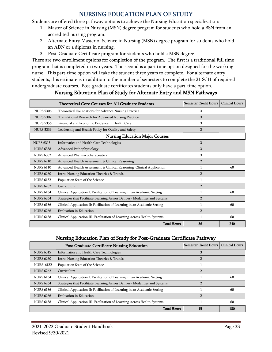## NURSING EDUCATION PLAN OF STUDY

<span id="page-32-0"></span>Students are offered three pathway options to achieve the Nursing Education specialization:

- 1. Master of Science in Nursing (MSN) degree program for students who hold a BSN from an accredited nursing program.
- 2. Alternate Entry Master of Science in Nursing (MSN) degree program for students who hold an ADN or a diploma in nursing.
- 3. Post-Graduate Certificate program for students who hold a MSN degree.

There are two enrollment options for completion of the program. The first is a traditional full time program that is completed in two years. The second is a part time option designed for the working nurse. This part-time option will take the student three years to complete. For alternate entry students, this estimate is in addition to the number of semesters to complete the 21 SCH of required undergraduate courses. Post-graduate certificates students only have a part-time option.

<span id="page-32-1"></span>

|                  | Theoretical Core Courses for All Graduate Students                         | <b>Semester Credit Hours</b> | <b>Clinical Hours</b> |
|------------------|----------------------------------------------------------------------------|------------------------------|-----------------------|
| <b>NURS 5306</b> | Theoretical Foundations for Advance Nursing Practice                       | 3                            |                       |
| <b>NURS 5307</b> | Translational Research for Advanced Nursing Practice                       | 3                            |                       |
| <b>NURS 5356</b> | Financial and Economic Evidence in Health Care                             | 3                            |                       |
| <b>NURS 5339</b> | Leadership and Health Policy for Quality and Safety                        | 3                            |                       |
|                  | <b>Nursing Education Major Courses</b>                                     |                              |                       |
| <b>NURS 6315</b> | Informatics and Health Care Technologies                                   | 3                            |                       |
| <b>NURS 6338</b> | Advanced Pathophysiology                                                   | 3                            |                       |
| <b>NURS 6302</b> | Advanced Pharmacotherapeutics                                              | 3                            |                       |
| <b>NURS 6210</b> | Advanced Health Assessment & Clinical Reasoning                            | $\overline{2}$               |                       |
| <b>NURS 6110</b> | Advanced Health Assessment & Clinical Reasoning: Clinical Application      | 1                            | 60                    |
| <b>NURS 6260</b> | Intro: Nursing Education Theories & Trends                                 | $\overline{2}$               |                       |
| <b>NURS 6132</b> | Population State of the Science                                            | 1                            |                       |
| <b>NURS 6262</b> | Curriculum                                                                 | $\overline{2}$               |                       |
| <b>NURS 6134</b> | Clinical Application I: Facilitation of Learning in an Academic Setting    | 1                            | 60                    |
| <b>NURS 6264</b> | Strategies that Facilitate Learning Across Delivery Modalities and Systems | $\overline{2}$               |                       |
| <b>NURS 6136</b> | Clinical Application II: Facilitation of Learning in an Academic Setting   |                              | 60                    |
| <b>NURS 6266</b> | Evaluation in Education                                                    | $\overline{2}$               |                       |
| <b>NURS 6138</b> | Clinical Application III: Facilitation of Learning Across Health Systems   |                              | 60                    |
|                  | <b>Total Hours</b>                                                         | 36                           | 240                   |

## Nursing Education Plan of Study for Alternate Entry and MSN Pathways

#### Nursing Education Plan of Study for Post-Graduate Certificate Pathway

<span id="page-32-2"></span>

|                  | <b>Post Graduate Certificate Nursing Education</b>                         | Semester Credit Hours | <b>Clinical Hours</b> |
|------------------|----------------------------------------------------------------------------|-----------------------|-----------------------|
| <b>NURS 6315</b> | Informatics and Health Care Technologies                                   | 3                     |                       |
| <b>NURS 6260</b> | Intro: Nursing Education Theories & Trends                                 |                       |                       |
| <b>NURS 6132</b> | Population State of the Science                                            |                       |                       |
| <b>NURS 6262</b> | Curriculum                                                                 |                       |                       |
| <b>NURS 6134</b> | Clinical Application I: Facilitation of Learning in an Academic Setting    |                       | 60                    |
| <b>NURS 6264</b> | Strategies that Facilitate Learning Across Delivery Modalities and Systems |                       |                       |
| <b>NURS 6136</b> | Clinical Application II: Facilitation of Learning in an Academic Setting   |                       | 60                    |
| <b>NURS 6266</b> | Evaluation in Education                                                    |                       |                       |
| <b>NURS 6138</b> | Clinical Application III: Facilitation of Learning Across Health Systems   |                       | 60                    |
|                  | <b>Total Hours</b>                                                         | 15                    | 180                   |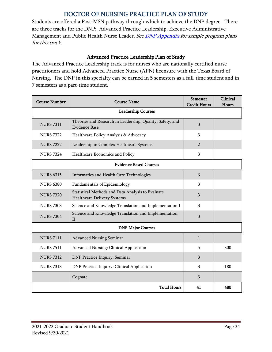## DOCTOR OF NURSING PRACTICE PLAN OF STUDY

<span id="page-33-0"></span>Students are offered a Post-MSN pathway through which to achieve the DNP degree. There are three tracks for the DNP: Advanced Practice Leadership, Executive Administrative Management and Public Health Nurse Leader. See **DNP Appendix** for sample program plans for this track.

## Advanced Practice Leadership Plan of Study

<span id="page-33-1"></span>The Advanced Practice Leadership track is for nurses who are nationally certified nurse practitioners and hold Advanced Practice Nurse (APN) licensure with the Texas Board of Nursing. The DNP in this specialty can be earned in 5 semesters as a full-time student and in 7 semesters as a part-time student.

| <b>Course Number</b> | <b>Course Name</b>                                                                | Semester<br><b>Credit Hours</b> | Clinical<br>Hours |
|----------------------|-----------------------------------------------------------------------------------|---------------------------------|-------------------|
|                      | <b>Leadership Courses</b>                                                         |                                 |                   |
| <b>NURS 7311</b>     | Theories and Research in Leadership, Quality, Safety, and<br><b>Evidence Base</b> | 3                               |                   |
| <b>NURS 7322</b>     | Healthcare Policy Analysis & Advocacy                                             | 3                               |                   |
| <b>NURS 7222</b>     | Leadership in Complex Healthcare Systems                                          | $\overline{2}$                  |                   |
| <b>NURS 7324</b>     | Healthcare Economics and Policy                                                   | 3                               |                   |
|                      | <b>Evidence Based Courses</b>                                                     |                                 |                   |
| <b>NURS 6315</b>     | Informatics and Health Care Technologies                                          | 3                               |                   |
| <b>NURS 6380</b>     | Fundamentals of Epidemiology                                                      | 3                               |                   |
| <b>NURS 7320</b>     | Statistical Methods and Data Analysis to Evaluate<br>Healthcare Delivery Systems  | 3                               |                   |
| <b>NURS 7303</b>     | Science and Knowledge Translation and Implementation I                            | 3                               |                   |
| <b>NURS 7304</b>     | Science and Knowledge Translation and Implementation<br>$\rm II$                  | 3                               |                   |
|                      | <b>DNP Major Courses</b>                                                          |                                 |                   |
| <b>NURS 7111</b>     | <b>Advanced Nursing Seminar</b>                                                   | $\mathbf{1}$                    |                   |
| <b>NURS 7511</b>     | Advanced Nursing: Clinical Application                                            | 5                               | 300               |
| <b>NURS 7312</b>     | DNP Practice Inquiry: Seminar                                                     | 3                               |                   |
| <b>NURS 7313</b>     | DNP Practice Inquiry: Clinical Application                                        | 3                               | 180               |
|                      | Cognate                                                                           | 3                               |                   |
|                      | <b>Total Hours</b>                                                                | 41                              | 480               |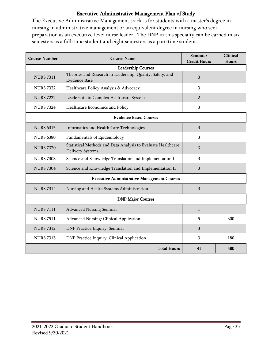## Executive Administrative Management Plan of Study

<span id="page-34-0"></span>The Executive Administrative Management track is for students with a master's degree in nursing in administrative management or an equivalent degree in nursing who seek preparation as an executive level nurse leader. The DNP in this specialty can be earned in six semesters as a full-time student and eight semesters as a part-time student.

| <b>Course Number</b>                               | <b>Course Name</b>                                                                      | <b>Semester</b><br><b>Credit Hours</b> | Clinical<br>Hours |  |  |
|----------------------------------------------------|-----------------------------------------------------------------------------------------|----------------------------------------|-------------------|--|--|
| <b>Leadership Courses</b>                          |                                                                                         |                                        |                   |  |  |
| <b>NURS 7311</b>                                   | Theories and Research in Leadership, Quality, Safety, and<br>Evidence Base              | 3                                      |                   |  |  |
| <b>NURS 7322</b>                                   | Healthcare Policy Analysis & Advocacy                                                   | 3                                      |                   |  |  |
| <b>NURS 7222</b>                                   | Leadership in Complex Healthcare Systems                                                | $\overline{2}$                         |                   |  |  |
| <b>NURS 7324</b>                                   | Healthcare Economics and Policy                                                         | 3                                      |                   |  |  |
| <b>Evidence Based Courses</b>                      |                                                                                         |                                        |                   |  |  |
| <b>NURS 6315</b>                                   | Informatics and Health Care Technologies                                                | 3                                      |                   |  |  |
| <b>NURS 6380</b>                                   | Fundamentals of Epidemiology                                                            | 3                                      |                   |  |  |
| <b>NURS 7320</b>                                   | Statistical Methods and Data Analysis to Evaluate Healthcare<br><b>Delivery Systems</b> | 3                                      |                   |  |  |
| <b>NURS 7303</b>                                   | Science and Knowledge Translation and Implementation I                                  | 3                                      |                   |  |  |
| <b>NURS 7304</b>                                   | Science and Knowledge Translation and Implementation II                                 | 3                                      |                   |  |  |
| <b>Executive Administrative Management Courses</b> |                                                                                         |                                        |                   |  |  |
| <b>NURS 7314</b>                                   | Nursing and Health Systems Administration                                               | $\overline{3}$                         |                   |  |  |
| <b>DNP Major Courses</b>                           |                                                                                         |                                        |                   |  |  |
| <b>NURS 7111</b>                                   | Advanced Nursing Seminar                                                                | $\mathbf{1}$                           |                   |  |  |
| <b>NURS 7511</b>                                   | Advanced Nursing: Clinical Application                                                  | 5                                      | 300               |  |  |
| <b>NURS 7312</b>                                   | DNP Practice Inquiry: Seminar                                                           | 3                                      |                   |  |  |
| <b>NURS 7313</b>                                   | DNP Practice Inquiry: Clinical Application                                              | 3                                      | 180               |  |  |
|                                                    | <b>Total Hours</b>                                                                      | 41                                     | 480               |  |  |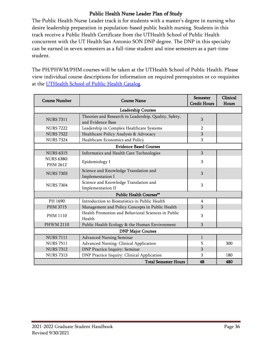## Public Health Nurse Leader Plan of Study

<span id="page-35-0"></span>The Public Health Nurse Leader track is for students with a master's degree in nursing who desire leadership preparation in population-based public health nursing. Students in this track receive a Public Health Certificate from the UTHealth School of Public Health concurrent with the UT Health San Antonio SON DNP degree. The DNP in this specialty can be earned in seven semesters as a full-time student and nine semesters as a part-time student.

The PH/PHWM/PHM courses will be taken at the UTHealth School of Public Health. Please view individual course descriptions for information on required prerequisites or co-requisites at the [UTHealth School of Public Health Catalog.](https://www.uth.edu/academics/docs/school-catalogs/SPH-2020-2021-Catalog_Final-V3.pdf#page=46)

| <b>Course Number</b>                 | <b>Course Name</b>                                                         | <b>Semester</b><br><b>Credit Hours</b> | Clinical<br>Hours |  |  |
|--------------------------------------|----------------------------------------------------------------------------|----------------------------------------|-------------------|--|--|
| <b>Leadership Courses</b>            |                                                                            |                                        |                   |  |  |
| <b>NURS 7311</b>                     | Theories and Research in Leadership, Quality, Safety,<br>and Evidence Base | 3                                      |                   |  |  |
| <b>NURS 7222</b>                     | Leadership in Complex Healthcare Systems                                   | $\overline{2}$                         |                   |  |  |
| <b>NURS 7322</b>                     | Healthcare Policy Analysis & Advocacy                                      | 3                                      |                   |  |  |
| <b>NURS 7324</b>                     | Healthcare Economics and Policy                                            | 3                                      |                   |  |  |
| <b>Evidence Based Courses</b>        |                                                                            |                                        |                   |  |  |
| <b>NURS 6315</b>                     | Informatics and Health Care Technologies                                   | 3                                      |                   |  |  |
| <b>NURS 6380/</b><br><b>PHM 2612</b> | Epidemiology I                                                             | 3                                      |                   |  |  |
| <b>NURS 7303</b>                     | Science and Knowledge Translation and<br>Implementation I                  | 3                                      |                   |  |  |
| <b>NURS 7304</b>                     | Science and Knowledge Translation and<br>Implementation II                 | 3                                      |                   |  |  |
| <b>Public Health Courses**</b>       |                                                                            |                                        |                   |  |  |
| PH 1690                              | Introduction to Biostatistics in Public Health                             | $\overline{4}$                         |                   |  |  |
| <b>PHM 3715</b>                      | Management and Policy Concepts in Public Health                            | 3                                      |                   |  |  |
| <b>PHM 1110</b>                      | Health Promotion and Behavioral Sciences in Public<br>Health               | 3                                      |                   |  |  |
| <b>PHWM 2110</b>                     | Public Health Ecology & the Human Environment                              | 3                                      |                   |  |  |
| <b>DNP Major Courses</b>             |                                                                            |                                        |                   |  |  |
| <b>NURS 7111</b>                     | <b>Advanced Nursing Seminar</b>                                            | $\mathbf{1}$                           |                   |  |  |
| <b>NURS 7511</b>                     | Advanced Nursing: Clinical Application                                     | 5                                      | 300               |  |  |
| <b>NURS 7312</b>                     | DNP Practice Inquiry: Seminar                                              | 3                                      |                   |  |  |
| <b>NURS 7313</b>                     | DNP Practice Inquiry: Clinical Application                                 | 3                                      | 180               |  |  |
|                                      | <b>Total Semester Hours</b>                                                | 48                                     | 480               |  |  |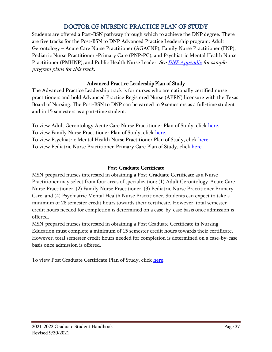## DOCTOR OF NURSING PRACTICE PLAN OF STUDY

Students are offered a Post-BSN pathway through which to achieve the DNP degree. There are five tracks for the Post-BSN to DNP Advanced Practice Leadership program: Adult Gerontology – Acute Care Nurse Practitioner (AGACNP), Family Nurse Practitioner (FNP), Pediatric Nurse Practitioner -Primary Care (PNP-PC), and Psychiatric Mental Health Nurse Practitioner (PMHNP), and Public Health Nurse Leader. See *DNP Appendix for sample* program plans for this track.

### Advanced Practice Leadership Plan of Study

The Advanced Practice Leadership track is for nurses who are nationally certified nurse practitioners and hold Advanced Practice Registered Nurse (APRN) licensure with the Texas Board of Nursing. The Post-BSN to DNP can be earned in 9 semesters as a full-time student and in 15 semesters as a part-time student.

To view Adult Gerontology Acute Care Nurse Practitioner Plan of Study, click [here.](http://catalog.uthscsa.edu/schoolofnursing/dnp/post-bsn/#sampleplanofstudyagacnptext) To view Family Nurse Practitioner Plan of Study, click [here.](http://catalog.uthscsa.edu/schoolofnursing/dnp/post-bsn/#sampleplanofstudyfamilynursepractitionertext) To view Psychiatric Mental Health Nurse Practitioner Plan of Study, click [here.](http://catalog.uthscsa.edu/schoolofnursing/dnp/post-bsn/#sampleplanofstudypmhnptext) To view Pediatric Nurse Practitioner-Primary Care Plan of Study, click [here.](http://catalog.uthscsa.edu/schoolofnursing/dnp/post-bsn/#sampleplanofstudypnptext)

### Post-Graduate Certificate

MSN-prepared nurses interested in obtaining a Post-Graduate Certificate as a Nurse Practitioner may select from four areas of specialization: (1) Adult Gerontology-Acute Care Nurse Practitioner, (2) Family Nurse Practitioner, (3) Pediatric Nurse Practitioner Primary Care, and (4) Psychiatric Mental Health Nurse Practitioner. Students can expect to take a minimum of 28 semester credit hours towards their certificate. However, total semester credit hours needed for completion is determined on a case-by-case basis once admission is offered.

MSN-prepared nurses interested in obtaining a Post Graduate Certificate in Nursing Education must complete a minimum of 15 semester credit hours towards their certificate. However, total semester credit hours needed for completion is determined on a case-by-case basis once admission is offered.

To view Post Graduate Certificate Plan of Study, click [here.](http://catalog.uthscsa.edu/schoolofnursing/postmsn/#sampleplanofstudytext)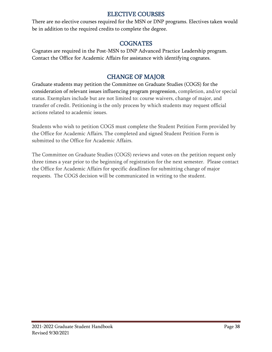### ELECTIVE COURSES

There are no elective courses required for the MSN or DNP programs. Electives taken would be in addition to the required credits to complete the degree.

### COGNATES

Cognates are required in the Post-MSN to DNP Advanced Practice Leadership program. Contact the Office for Academic Affairs for assistance with identifying cognates.

## CHANGE OF MAJOR

Graduate students may petition the Committee on Graduate Studies (COGS) for the consideration of relevant issues influencing program progression, completion, and/or special status. Exemplars include but are not limited to: course waivers, change of major, and transfer of credit. Petitioning is the only process by which students may request official actions related to academic issues.

Students who wish to petition COGS must complete the Student Petition Form provided by the Office for Academic Affairs. The completed and signed Student Petition Form is submitted to the Office for Academic Affairs.

The Committee on Graduate Studies (COGS) reviews and votes on the petition request only three times a year prior to the beginning of registration for the next semester. Please contact the Office for Academic Affairs for specific deadlines for submitting change of major requests. The COGS decision will be communicated in writing to the student.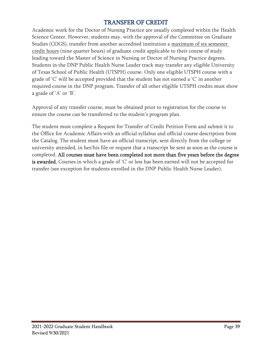## TRANSFER OF CREDIT

Academic work for the Doctor of Nursing Practice are usually completed within the [Health](http://www.uthscsa.edu/)  [Science Center.](http://www.uthscsa.edu/) However, students may, with the approval of the Committee on Graduate Studies (COGS), transfer from another accredited institution a maximum of six semester credit hours (nine quarter hours) of graduate credit applicable to their course of study leading toward the Master of Science in Nursing or Doctor of Nursing Practice degrees. Students in the DNP Public Health Nurse Leader track may transfer any eligible University of Texas School of Public Health (UTSPH) course. Only one eligible UTSPH course with a grade of 'C' will be accepted provided that the student has not earned a 'C' in another required course in the DNP program. Transfer of all other eligible UTSPH credits must show a grade of 'A' or 'B'.

Approval of any transfer course, must be obtained prior to registration for the course to ensure the course can be transferred to the student's program plan.

The student must complete a Request for Transfer of Credit Petition Form and submit it to the Office for Academic Affairs with an official syllabus and official course description from the Catalog. The student must have an official transcript, sent directly from the college or university attended, in her/his file or request that a transcript be sent as soon as the course is completed. All courses must have been completed not more than five years before the degree is awarded. Courses in which a grade of 'C' or less has been earned will not be accepted for transfer (see exception for students enrolled in the DNP Public Health Nurse Leader).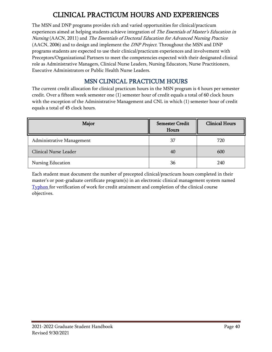# CLINICAL PRACTICUM HOURS AND EXPERIENCES

The MSN and DNP programs provides rich and varied opportunities for clinical/practicum experiences aimed at helping students achieve integration of The Essentials of Master's Education in Nursing (AACN, 2011) and The Essentials of Doctoral Education for Advanced Nursing Practice (AACN, 2006) and to design and implement the *DNP Project*. Throughout the MSN and DNP programs students are expected to use their clinical/practicum experiences and involvement with Preceptors/Organizational Partners to meet the competencies expected with their designated clinical role as Administrative Managers, Clinical Nurse Leaders, Nursing Educators, Nurse Practitioners, Executive Administrators or Public Health Nurse Leaders.

# MSN CLINICAL PRACTICUM HOURS

The current credit allocation for clinical practicum hours in the MSN program is 4 hours per semester credit. Over a fifteen week semester one (1) semester hour of credit equals a total of 60 clock hours with the exception of the Administrative Management and CNL in which (1) semester hour of credit equals a total of 45 clock hours.

| Major                     | <b>Semester Credit</b><br>Hours | <b>Clinical Hours</b> |
|---------------------------|---------------------------------|-----------------------|
| Administrative Management | 37                              | 720                   |
| Clinical Nurse Leader     | 40                              | 600                   |
| Nursing Education         | 36                              | 240                   |

Each student must document the number of precepted clinical/practicum hours completed in their master's or post-graduate certificate program(s) in an electronic clinical management system named [Typhon](https://www3.typhongroup.net/np/data/login.asp?facility=3131) for verification of work for credit attainment and completion of the clinical course objectives.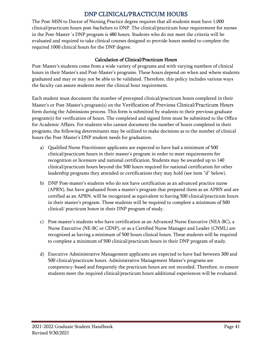## DNP CLINICAL/PRACTICUM HOURS

The Post-MSN to Doctor of Nursing Practice degree requires that all students must have 1,000 clinical/practicum hours post-bachelors to DNP. The clinical/practicum hour requirement for nurses in the Post-Master´s DNP program is 480 hours. Students who do not meet the criteria will be evaluated and required to take clinical courses designed to provide hours needed to complete the required 1000 clinical hours for the DNP degree.

#### Calculation of Clinical/Practicum Hours

Post-Master's students come from a wide variety of programs and with varying numbers of clinical hours in their Master's and Post-Master's programs. These hours depend on when and where students graduated and may or may not be able to be validated. Therefore, this policy includes various ways the faculty can assure students meet the clinical hour requirement.

Each student must document the number of precepted clinical/practicum hours completed in their Master's or Post-Master's program(s) on the Verification of Previous Clinical/Practicum Hours form during the Admissions process. This form is submitted by students to their previous graduate program(s) for verification of hours. The completed and signed form must be submitted to the Office for Academic Affairs. For students who cannot document the number of hours completed in their programs, the following determinants may be utilized to make decisions as to the number of clinical hours the Post-Master's DNP student needs for graduation.

- a) Qualified Nurse Practitioner applicants are expected to have had a minimum of 500 clinical/practicum hours in their master's program in order to meet requirements for recognition or licensure and national certification. Students may be awarded up to 140 clinical/practicum hours beyond the 500 hours required for national certification for other leadership programs they attended or certifications they may hold (see item "d" below).
- b) DNP Post-master's students who do not have certification as an advanced practice nurse (APRN), but have graduated from a master's program that prepared them as an APRN and are certified as an APRN, will be recognized as equivalent to having 500 clinical/practicum hours in their master's program. These students will be required to complete a minimum of 500 clinical/ practicum hours in their DNP program of study.
- c) Post‐master's students who have certification as an Advanced Nurse Executive (NEA‐BC), a Nurse Executive (NE‐BC or CENP), or as a Certified Nurse Manager and Leader (CNML) are recognized as having a minimum of 500 hours clinical hours. These students will be required to complete a minimum of 500 clinical/practicum hours in their DNP program of study.
- d) Executive Administrative Management applicants are expected to have had between 300 and 500 clinical/practicum hours. Administrative Management Master's programs are competency-based and frequently the practicum hours are not recorded. Therefore, to ensure students meet the required clinical/practicum hours additional experiences will be evaluated.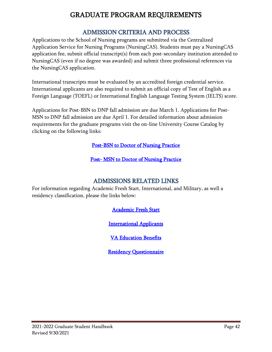# GRADUATE PROGRAM REQUIREMENTS

# ADMISSION CRITERIA AND PROCESS

Applications to the School of Nursing programs are submitted via the Centralized Application Service for Nursing Programs (NursingCAS). Students must pay a NursingCAS application fee, submit official transcript(s) from each post-secondary institution attended to NursingCAS (even if no degree was awarded) and submit three professional references via the NursingCAS application.

International transcripts must be evaluated by an accredited foreign credential service. International applicants are also required to submit an official copy of Test of English as a Foreign Language (TOEFL) or International English Language Testing System (IELTS) score.

Applications for Post-BSN to DNP fall admission are due March 1. Applications for Post-MSN to DNP fall admission are due April 1. For detailed information about admission requirements for the graduate programs visit the on-line University Course Catalog by clicking on the following links:

### [Post-BSN to Doctor of Nursing Practice](http://catalog.uthscsa.edu/schoolofnursing/dnp/post-bsn/#admissionsrequirementstext)

[Post- MSN to Doctor of Nursing Practice](http://catalog.uthscsa.edu/schoolofnursing/dnp/post-msn/#admissionsrequirementstext) 

### ADMISSIONS RELATED LINKS

For information regarding Academic Fresh Start, International, and Military, as well a residency classification, please the links below:

[Academic Fresh Start](http://catalog.uthscsa.edu/generalinformation/universityadmissionspolicy/) 

[International Applicants](https://www.uthscsa.edu/academics/nursing/admissions/foreign-coursework) 

[VA Education Benefits](http://students.uthscsa.edu/financialaid/2013/04/va-education-benefits-va-certification-process/) 

[Residency Questionnaire](https://students.uthscsa.edu/registrar/2013/04/texas-residency/)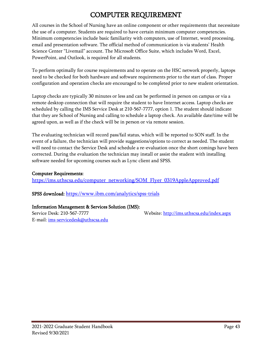# COMPUTER REQUIREMENT

All courses in the School of Nursing have an online component or other requirements that necessitate the use of a computer. Students are required to have certain minimum computer competencies. Minimum competencies include basic familiarity with computers, use of Internet, word processing, email and presentation software. The official method of communication is via students' Health Science Center "Livemail" account. The Microsoft Office Suite, which includes Word, Excel, PowerPoint, and Outlook, is required for all students.

To perform optimally for course requirements and to operate on the HSC network properly, laptops need to be checked for both hardware and software requirements prior to the start of class. Proper configuration and operation checks are encouraged to be completed prior to new student orientation.

Laptop checks are typically 30 minutes or less and can be performed in person on campus or via a remote desktop connection that will require the student to have Internet access. Laptop checks are scheduled by calling the IMS Service Desk at 210-567-7777, option 1. The student should indicate that they are School of Nursing and calling to schedule a laptop check. An available date/time will be agreed upon, as well as if the check will be in person or via remote session.

The evaluating technician will record pass/fail status, which will be reported to SON staff. In the event of a failure, the technician will provide suggestions/options to correct as needed. The student will need to contact the Service Desk and schedule a re-evaluation once the short comings have been corrected. During the evaluation the technician may install or assist the student with installing software needed for upcoming courses such as Lync client and SPSS.

#### Computer Requirements:

[https://ims.uthscsa.edu/computer\\_networking/SOM\\_Flyer\\_0319AppleApproved.pdf](https://ims.uthscsa.edu/computer_networking/SOM_Flyer_0319AppleApproved.pdf)

SPSS download: <https://www.ibm.com/analytics/spss-trials>

#### Information Management & Services Solution (IMS):

E-mail: [ims-servicedesk@uthscsa.edu](mailto:ims-servicedesk@uthscsa.edu)

Service Desk: 210-567-7777 Website:<http://ims.uthscsa.edu/index.aspx>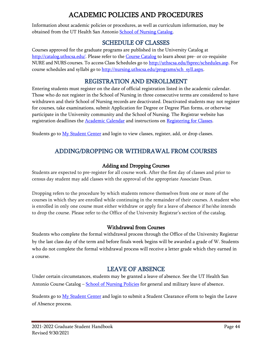# ACADEMIC POLICIES AND PROCEDURES

Information about academic policies or procedures, as well as curriculum information, may be obtained from the UT Health San Antonio [School of Nursing Catalog.](http://catalog.uthscsa.edu/schoolofnursing/)

### SCHEDULE OF CLASSES

Courses approved for the graduate programs are published in the University Catalog at [http://catalog.uthscsa.edu/.](http://catalog.uthscsa.edu/) Please refer to the Course [Catalog](http://catalog.uthscsa.edu/generalinformation/coursedescriptions/) to learn about pre- or co-requisite NURE and NURS courses. To access Class Schedules go to [http://uthscsa.edu/fsprec/schedules.asp.](http://uthscsa.edu/fsprec/schedules.asp) For course schedules and syllabi go to [http://nursing.uthscsa.edu/programs/sch\\_syll.aspx.](http://nursing.uthscsa.edu/programs/sch_syll.aspx)

## REGISTRATION AND ENROLLMENT

Entering students must register on the date of official registration listed in the [academic calendar.](http://students.uthscsa.edu/registrar/2013/04/academic-calendar/) Those who do not register in the School of Nursing in three consecutive terms are considered to have withdrawn and their School of Nursing records are deactivated. Deactivated students may not register for courses, take examinations, submit Application for Degree or Degree Plan forms, or otherwise participate in the University community and the School of Nursing. The Registrar website has registration deadlines the **Academic Calendar** and instructions on **Registering for Classes**.

Students go to **[My Student Center](https://cs.uthscsa.edu/psp/S92PRD/?cmd=login) and login to view classes**, register, add, or drop classes.

# ADDING/DROPPING OR WITHDRAWAL FROM COURSES

### Adding and Dropping Courses

Students are expected to pre-register for all course work. After the first day of classes and prior to census day student may add classes with the approval of the appropriate Associate Dean.

Dropping refers to the procedure by which students remove themselves from one or more of the courses in which they are enrolled while continuing in the remainder of their courses. A student who is enrolled in only one course must either withdraw or apply for a leave of absence if he/she intends to drop the course. Please refer to the Office of the University Registrar's section of the catalog.

### Withdrawal from Courses

Students who complete the formal withdrawal process through the Office of the University Registrar by the last class day of the term and before finals week begins will be awarded a grade of W. Students who do not complete the formal withdrawal process will receive a letter grade which they earned in a course.

### LEAVE OF ABSENCE

Under certain circumstances, students may be granted a leave of absence. See the UT Health San Antonio Course Catalog – [School of Nursing Policies](http://catalog.uthscsa.edu/schoolofnursing/policiesandprocedures/) for general and military leave of absence.

Students go to [My Student Center](https://cs.uthscsa.edu/psp/S92PRD/?cmd=login) and login to submit a Student Clearance eForm to begin the Leave of Absence process.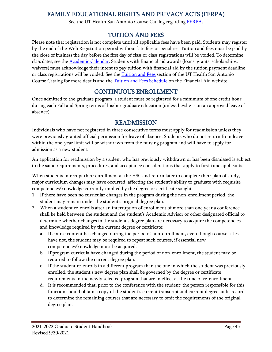# FAMILY EDUCATIONAL RIGHTS AND PRIVACY ACTS (FERPA)

See the UT Health San Antonio Course Catalog regarding [FERPA](http://catalog.uthscsa.edu/generalinformation/institutionalpolicies/privacyrights/familyeducationalrightsandprivacyactsferpapolicy/).

### TUITION AND FEES

Please note that registration is not complete until all applicable fees have been paid. Students may register by the end of the Web Registration period without late fees or penalties. Tuition and fees must be paid by the close of business the day before the first day of class or class registrations will be voided. To determine class dates, see th[e Academic](https://students.uthscsa.edu/registrar/2013/04/academic-calendar/) Calendar. Students with financial aid awards (loans, grants, scholarships, waivers) must acknowledge their intent to pay tuition with financial aid by the tuition payment deadline or class registrations will be voided. See the [Tuition and Fees](http://catalog.uthscsa.edu/generalinformation/financialaid/tuitionandfeespolicy/) section of the UT Health San Antonio Course Catalog for more details and the [Tuition and Fees Schedule](https://students.uthscsa.edu/financialaid/2015/06/ut-health-science-center-san-antonio-tuition-and-fee-schedules/) on the Financial Aid website.

### CONTINUOUS ENROLLMENT

Once admitted to the graduate program, a student must be registered for a minimum of one credit hour during each Fall and Spring terms of his/her graduate education (unless he/she is on an approved leave of absence).

### READMISSION

Individuals who have not registered in three consecutive terms must apply for readmission unless they were previously granted official permission for leave of absence. Students who do not return from leave within the one-year limit will be withdrawn from the nursing program and will have to apply for admission as a new student.

An application for readmission by a student who has previously withdrawn or has been dismissed is subject to the same requirements, procedures, and acceptance considerations that apply to first-time applicants.

When students interrupt their enrollment at the HSC and return later to complete their plan of study, major curriculum changes may have occurred, affecting the student's ability to graduate with requisite competencies/knowledge currently implied by the degree or certificate sought.

- 1. If there have been no curricular changes in the program during the non-enrollment period, the student may remain under the student's original degree plan.
- 2. When a student re-enrolls after an interruption of enrollment of more than one year a conference shall be held between the student and the student's Academic Advisor or other designated official to determine whether changes in the student's degree plan are necessary to acquire the competencies and knowledge required by the current degree or certificate:
	- a. If course content has changed during the period of non-enrollment, even though course titles have not, the student may be required to repeat such courses, if essential new competencies/knowledge must be acquired.
	- b. If program curricula have changed during the period of non-enrollment, the student may be required to follow the current degree plan.
	- c. If the student re-enrolls in a different program than the one in which the student was previously enrolled, the student's new degree plan shall be governed by the degree or certificate requirements in the newly selected program that are in effect at the time of re-enrollment.
	- d. It is recommended that, prior to the conference with the student; the person responsible for this function should obtain a copy of the student's current transcript and current degree audit record to determine the remaining courses that are necessary to omit the requirements of the original degree plan.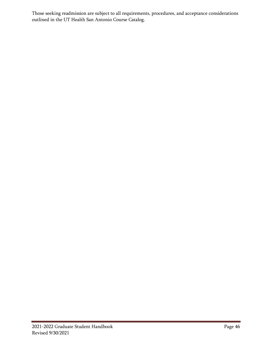Those seeking readmission are subject to all requirements, procedures, and acceptance considerations outlined in the UT Health San Antonio Course Catalog.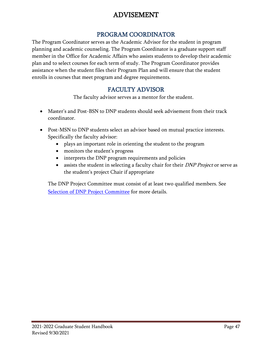# ADVISEMENT

### PROGRAM COORDINATOR

The Program Coordinator serves as the Academic Advisor for the student in program planning and academic counseling. The Program Coordinator is a graduate support staff member in the Office for Academic Affairs who assists students to develop their academic plan and to select courses for each term of study. The Program Coordinator provides assistance when the student files their Program Plan and will ensure that the student enrolls in courses that meet program and degree requirements.

## FACULTY ADVISOR

The faculty advisor serves as a mentor for the student.

- Master's and Post-BSN to DNP students should seek advisement from their track coordinator.
- Post-MSN to DNP students select an advisor based on mutual practice interests. Specifically the faculty advisor:
	- plays an important role in orienting the student to the program
	- monitors the student's progress
	- interprets the DNP program requirements and policies
	- assists the student in selecting a faculty chair for their *DNP Project* or serve as the student's project Chair if appropriate

The DNP Project Committee must consist of at least two qualified members. See [Selection of DNP Project Committee](#page-91-0) for more details.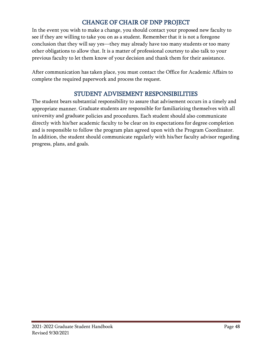# CHANGE OF CHAIR OF DNP PROJECT

In the event you wish to make a change, you should contact your proposed new faculty to see if they are willing to take you on as a student. Remember that it is not a foregone conclusion that they will say yes—they may already have too many students or too many other obligations to allow that. It is a matter of professional courtesy to also talk to your previous faculty to let them know of your decision and thank them for their assistance.

After communication has taken place, you must contact the Office for Academic Affairs to complete the required paperwork and process the request.

## STUDENT ADVISEMENT RESPONSIBILITIES

The student bears substantial responsibility to assure that advisement occurs in a timely and appropriate manner. Graduate students are responsible for familiarizing themselves with all university and graduate policies and procedures. Each student should also communicate directly with his/her academic faculty to be clear on its expectations for degree completion and is responsible to follow the program plan agreed upon with the Program Coordinator. In addition, the student should communicate regularly with his/her faculty advisor regarding progress, plans, and goals.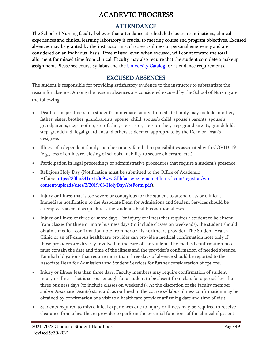# ACADEMIC PROGRESS

# ATTENDANCE

The School of Nursing faculty believes that attendance at scheduled classes, examinations, clinical experiences and clinical learning laboratory is crucial to meeting course and program objectives. Excused absences may be granted by the instructor in such cases as illness or personal emergency and are considered on an individual basis. Time missed, even when excused, will count toward the total allotment for missed time from clinical. Faculty may also require that the student complete a makeup assignment. Please see course syllabus and the [University Catalog](http://catalog.uthscsa.edu/generalinformation/generalacademicpolicies/studentabsences/) for attendance requirements.

### EXCUSED ABSENCES

The student is responsible for providing satisfactory evidence to the instructor to substantiate the reason for absence. Among the reasons absences are considered excused by the School of Nursing are the following:

- Death or major illness in a student's immediate family. Immediate family may include: mother, father, sister, brother, grandparents, spouse, child, spouse's child, spouse's parents, spouse's grandparents, step-mother, step-father, step-sister, step-brother, step-grandparents, grandchild, step-grandchild, legal guardian, and others as deemed appropriate by the Dean or Dean's designee.
- Illness of a dependent family member or any familial responsibilities associated with COVID-19 (e.g., loss of childcare, closing of schools, inability to secure eldercare, etc.).
- Participation in legal proceedings or administrative procedures that require a student's presence.
- Religious Holy Day (Notification must be submitted to the Office of Academic Affairs: [https://33hu841nxtz3q9wwt3fihfao-wpengine.netdna-ssl.com/registrar/wp](https://33hu841nxtz3q9wwt3fihfao-wpengine.netdna-ssl.com/registrar/wp-content/uploads/sites/2/2019/03/HolyDayAbsForm.pdf)[content/uploads/sites/2/2019/03/HolyDayAbsForm.pdf\)](https://33hu841nxtz3q9wwt3fihfao-wpengine.netdna-ssl.com/registrar/wp-content/uploads/sites/2/2019/03/HolyDayAbsForm.pdf).
- Injury or illness that is too severe or contagious for the student to attend class or clinical. Immediate notification to the Associate Dean for Admissions and Student Services should be attempted via email as quickly as the student's health condition allows.
- Injury or illness of three or more days. For injury or illness that requires a student to be absent from classes for three or more business days (to include classes on weekends), the student should obtain a medical confirmation note from her or his healthcare provider. The Student Health Clinic or an off-campus healthcare provider can provide a medical confirmation note only if those providers are directly involved in the care of the student. The medical confirmation note must contain the date and time of the illness and the provider's confirmation of needed absence. Familial obligations that require more than three days of absence should be reported to the Associate Dean for Admissions and Student Services for further consideration of options.
- Injury or illness less than three days. Faculty members may require confirmation of student injury or illness that is serious enough for a student to be absent from class for a period less than three business days (to include classes on weekends). At the discretion of the faculty member and/or Associate Dean(s) standard, as outlined in the course syllabus, illness confirmation may be obtained by confirmation of a visit to a healthcare provider affirming date and time of visit.
- Students required to miss clinical experiences due to injury or illness may be required to receive clearance from a healthcare provider to perform the essential functions of the clinical if patient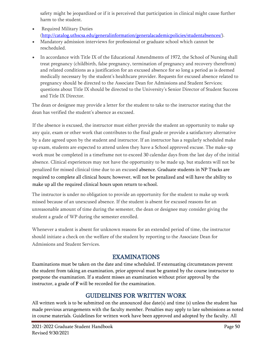safety might be jeopardized or if it is perceived that participation in clinical might cause further harm to the student.

- Required Military Duties [\(http://catalog.uthscsa.edu/generalinformation/generalacademicpolicies/studentabsences/\)](http://catalog.uthscsa.edu/generalinformation/generalacademicpolicies/studentabsences/).
- Mandatory admission interviews for professional or graduate school which cannot be rescheduled.
- In accordance with Title IX of the Educational Amendments of 1972, the School of Nursing shall treat pregnancy (childbirth, false pregnancy, termination of pregnancy and recovery therefrom) and related conditions as a justification for an excused absence for so long a period as is deemed medically necessary by the student's healthcare provider. Requests for excused absence related to pregnancy should be directed to the Associate Dean for Admissions and Student Services; questions about Title IX should be directed to the University's Senior Director of Student Success and Title IX Director.

The dean or designee may provide a letter for the student to take to the instructor stating that the dean has verified the student's absence as excused.

If the absence is excused, the instructor must either provide the student an opportunity to make up any quiz, exam or other work that contributes to the final grade or provide a satisfactory alternative by a date agreed upon by the student and instructor. If an instructor has a regularly scheduled make up exam, students are expected to attend unless they have a School approved excuse. The make-up work must be completed in a timeframe not to exceed 30 calendar days from the last day of the initial absence. Clinical experiences may not have the opportunity to be made up, but students will not be penalized for missed clinical time due to an excused absence. Graduate students in NP Tracks are required to complete all clinical hours; however, will not be penalized and will have the ability to make up all the required clinical hours upon return to school.

The instructor is under no obligation to provide an opportunity for the student to make up work missed because of an unexcused absence. If the student is absent for excused reasons for an unreasonable amount of time during the semester, the dean or designee may consider giving the student a grade of WP during the semester enrolled.

Whenever a student is absent for unknown reasons for an extended period of time, the instructor should initiate a check on the welfare of the student by reporting to the Associate Dean for Admissions and Student Services.

## EXAMINATIONS

Examinations must be taken on the date and time scheduled. If extenuating circumstances prevent the student from taking an examination, prior approval must be granted by the course instructor to postpone the examination. If a student misses an examination without prior approval by the instructor, a grade of F will be recorded for the examination.

## GUIDELINES FOR WRITTEN WORK

All written work is to be submitted on the announced due date(s) and time (s) unless the student has made previous arrangements with the faculty member. Penalties may apply to late submissions as noted in course materials. Guidelines for written work have been approved and adopted by the faculty. All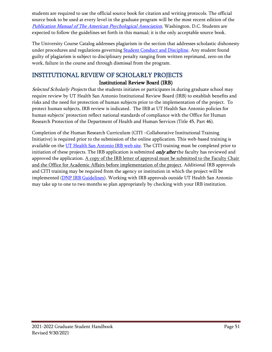students are required to use the official source book for citation and writing protocols. The official source book to be used at every level in the graduate program will be the most recent edition of the [Publication Manual of The American Psychological Association](http://www.apastyle.org/manual/), Washington, D.C. Students are expected to follow the guidelines set forth in this manual; it is the only acceptable source book.

The University Course Catalog addresses plagiarism in the section that addresses scholastic dishonesty under procedures and regulations governing [Student Conduct and Discipline.](http://catalog.uthscsa.edu/generalinformation/institutionalpolicies/studentconductanddisciplinepolicy/) Any student found guilty of plagiarism is subject to disciplinary penalty ranging from written reprimand, zero on the work, failure in the course and through dismissal from the program.

### INSTITUTIONAL REVIEW OF SCHOLARLY PROJECTS Institutional Review Board (IRB)

Selected Scholarly Projects that the students initiates or participates in during graduate school may require review by UT Health San Antonio Institutional Review Board (IRB) to establish benefits and risks and the need for protection of human subjects prior to the implementation of the project. To protect human subjects, IRB review is indicated. The IRB at UT Health San Antonio policies for human subjects' protection reflect national standards of compliance with the Office for Human Research Protection of the Department of Health and Human Services (Title 45, Part 46).

Completion of the Human Research Curriculum (CITI –Collaborative Institutional Training Initiative) is required prior to the submission of the online application. This web-based training is available on the [UT Health San Antonio IRB web site.](http://research.uthscsa.edu/irb/training.shtml) The CITI training must be completed prior to initiation of these projects. The IRB application is submitted *only after* the faculty has reviewed and approved the application.  $\underline{A}$  copy of the IRB letter of approval must be submitted to the Faculty Chair and the Office for Academic Affairs before implementation of the project. Additional IRB approvals and CITI training may be required from the agency or institution in which the project will be implemented [\(DNP IRB Guidelines\)](#page-81-0). Working with IRB approvals outside UT Health San Antonio may take up to one to two months so plan appropriately by checking with your IRB institution.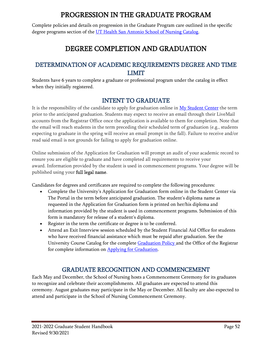# PROGRESSION IN THE GRADUATE PROGRAM

Complete policies and details on progression in the Graduate Program care outlined in the specific degree programs section of the [UT Health San Antonio School of Nursing Catalog.](http://catalog.uthscsa.edu/biomedicalsciences/nursingscience/#programpoliciestext)

# DEGREE COMPLETION AND GRADUATION

# DETERMINATION OF ACADEMIC REQUIREMENTS DEGREE AND TIME LIMIT

Students have 6 years to complete a graduate or professional program under the catalog in effect when they initially registered.

## INTENT TO GRADUATE

It is the responsibility of the candidate to apply for graduation online in [My Student Center](https://cs.uthscsa.edu/psp/S92PRD/?cmd=login) the term prior to the anticipated graduation. Students may expect to receive an email through their LiveMail accounts from the Registrar Office once the application is available to them for completion. Note that the email will reach students in the term preceding their scheduled term of graduation (e.g., students expecting to graduate in the spring will receive an email prompt in the fall). Failure to receive and/or read said email is not grounds for failing to apply for graduation online.

Online submission of the Application for Graduation will prompt an audit of your academic record to ensure you are eligible to graduate and have completed all requirements to receive your award. Information provided by the student is used in commencement programs. Your degree will be published using your full legal name.

Candidates for degrees and certificates are required to complete the following procedures:

- Complete the University's Application for Graduation form online in the Student Center via The Portal in the term before anticipated graduation. The student's diploma name as requested in the Application for Graduation form is printed on her/his diploma and information provided by the student is used in commencement programs. Submission of this form is mandatory for release of a student's diploma.
- Register in the term the certificate or degree is to be conferred.
- Attend an Exit Interview session scheduled by the Student Financial Aid Office for students who have received financial assistance which must be repaid after graduation. See the University Course Catalog for the complet[e Graduation Policy](http://catalog.uthscsa.edu/generalinformation/generalacademicpolicies/graduationpolicy/) and the Office of the Registrar for complete information on [Applying for Graduation.](http://students.uthscsa.edu/registrar/2013/04/applying-for-graduation/)

# GRADUATE RECOGNITION AND COMMENCEMENT

Each May and December, the School of Nursing hosts a Commencement Ceremony for its graduates to recognize and celebrate their accomplishments. All graduates are expected to attend this ceremony. August graduates may participate in the May or December. All faculty are also expected to attend and participate in the School of Nursing Commencement Ceremony.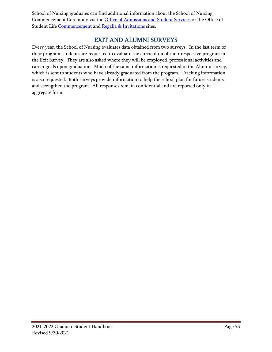School of Nursing graduates can find additional information about the School of Nursing Commencement Ceremony via the [Office of Admissions and Student Services](http://nursing.uthscsa.edu/students/current.asp) or the Office of Student Life [Commencement](http://students.uthscsa.edu/studentlife/2013/03/commencement/) and [Regalia & Invitations](http://colleges.herffjones.com/college/uthscsa/) sites.

### EXIT AND ALUMNI SURVEYS

Every year, the School of Nursing evaluates data obtained from two surveys. In the last term of their program, students are requested to evaluate the curriculum of their respective program in the Exit Survey. They are also asked where they will be employed, professional activities and career goals upon graduation. Much of the same information is requested in the Alumni survey, which is sent to students who have already graduated from the program. Tracking information is also requested. Both surveys provide information to help the school plan for future students and strengthen the program. All responses remain confidential and are reported only in aggregate form.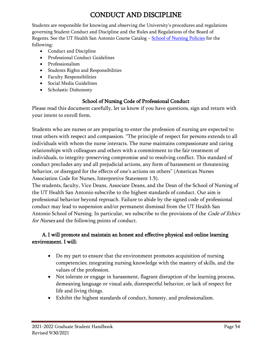# CONDUCT AND DISCIPLINE

Students are responsible for knowing and observing the University's procedures and regulations governing Student Conduct and Discipline and the Rules and Regulations of the Board of Regents. See the UT Health San Antonio Course Catalog – [School of Nursing Policies](http://catalog.uthscsa.edu/schoolofnursing/) for the following:

- Conduct and Discipline
- Professional Conduct Guidelines
- Professionalism
- Students Rights and Responsibilities
- Faculty Responsibilities
- Social Media Guidelines
- Scholastic Dishonesty

### School of Nursing Code of Professional Conduct

Please read this document carefully, let us know if you have questions, sign and return with your intent to enroll form.

Students who are nurses or are preparing to enter the profession of nursing are expected to treat others with respect and compassion. "The principle of respect for persons extends to all individuals with whom the nurse interacts. The nurse maintains compassionate and caring relationships with colleagues and others with a commitment to the fair treatment of individuals, to integrity-preserving compromise and to resolving conflict. This standard of conduct precludes any and all prejudicial actions, any form of harassment or threatening behavior, or disregard for the effects of one's actions on others" (American Nurses Association Code for Nurses, Interpretive Statement 1.5).

The students, faculty, Vice Deans, Associate Deans, and the Dean of the School of Nursing of the UT Health San Antonio subscribe to the highest standards of conduct. Our aim is professional behavior beyond reproach. Failure to abide by the signed code of professional conduct may lead to suspension and/or permanent dismissal from the UT Health San Antonio School of Nursing. In particular, we subscribe to the provisions of the *Code of Ethics* for Nurses and the following points of conduct.

### A.I will promote and maintain an honest and effective physical and online learning environment. I will:

- Do my part to ensure that the environment promotes acquisition of nursing competencies; integrating nursing knowledge with the mastery of skills, and the values of the profession.
- Not tolerate or engage in harassment, flagrant disruption of the learning process, demeaning language or visual aids, disrespectful behavior, or lack of respect for life and living things.
- Exhibit the highest standards of conduct, honesty, and professionalism.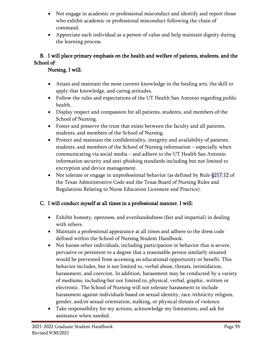- Not engage in academic or professional misconduct and identify and report those who exhibit academic or professional misconduct following the chain of command.
- Appreciate each individual as a person of value and help maintain dignity during the learning process.

### B. I will place primary emphasis on the health and welfare of patients, students, and the School of

### Nursing. I will:

- Attain and maintain the most current knowledge in the healing arts, the skill to apply that knowledge, and caring attitudes.
- Follow the rules and expectations of the UT Health San Antonio regarding public health.
- Display respect and compassion for all patients, students, and members of the School of Nursing.
- Foster and preserve the trust that exists between the faculty and all patients, students, and members of the School of Nursing.
- Protect and maintain the confidentiality, integrity and availability of patients, students, and members of the School of Nursing information – especially when communicating via social media – and adhere to the UT Health San Antonio information security and anti-phishing standards including but not limited to encryption and device management.
- Not tolerate or engage in unprofessional behavior (as defined by Rule §217.12 of the Texas Administrative Code and the Texas Board of Nursing Rules and Regulations Relating to Nurse Education Licensure and Practice).

### C. I will conduct myself at all times in a professional manner. I will:

- Exhibit honesty, openness, and evenhandedness (fair and impartial) in dealing with others.
- Maintain a professional appearance at all times and adhere to the dress code defined within the School of Nursing Student Handbook.
- Not harass other individuals, including participation in behavior that is severe, pervasive or persistent to a degree that a reasonable person similarly situated would be prevented from accessing an educational opportunity or benefit. This behavior includes, but is not limited to, verbal abuse, threats, intimidation, harassment, and coercion. In addition, harassment may be conducted by a variety of mediums, including but not limited to, physical, verbal, graphic, written or electronic. The School of Nursing will not tolerate harassment to include harassment against individuals based on sexual identity, race /ethnicity religion, gender, and/or sexual orientation, stalking, or physical threats of violence.
- Take responsibility for my actions, acknowledge my limitations, and ask for assistance when needed.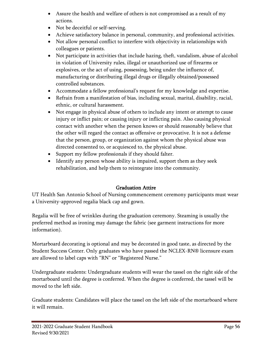- Assure the health and welfare of others is not compromised as a result of my actions.
- Not be deceitful or self-serving.
- Achieve satisfactory balance in personal, community, and professional activities.
- Not allow personal conflict to interfere with objectivity in relationships with colleagues or patients.
- Not participate in activities that include hazing, theft, vandalism, abuse of alcohol in violation of University rules, illegal or unauthorized use of firearms or explosives, or the act of using, possessing, being under the influence of, manufacturing or distributing illegal drugs or illegally obtained/possessed controlled substances.
- Accommodate a fellow professional's request for my knowledge and expertise.
- Refrain from a manifestation of bias, including sexual, marital, disability, racial, ethnic, or cultural harassment.
- Not engage in physical abuse of others to include any intent or attempt to cause injury or inflict pain; or causing injury or inflicting pain. Also causing physical contact with another when the person knows or should reasonably believe that the other will regard the contact as offensive or provocative. It is not a defense that the person, group, or organization against whom the physical abuse was directed consented to, or acquiesced to, the physical abuse.
- Support my fellow professionals if they should falter.
- Identify any person whose ability is impaired, support them as they seek rehabilitation, and help them to reintegrate into the community.

### Graduation Attire

UT Health San Antonio School of Nursing commencement ceremony participants must wear a University-approved regalia black cap and gown.

Regalia will be free of wrinkles during the graduation ceremony. Steaming is usually the preferred method as ironing may damage the fabric (see garment instructions for more information).

Mortarboard decorating is optional and may be decorated in good taste, as directed by the Student Success Center. Only graduates who have passed the NCLEX-RN® licensure exam are allowed to label caps with "RN" or "Registered Nurse."

Undergraduate students: Undergraduate students will wear the tassel on the right side of the mortarboard until the degree is conferred. When the degree is conferred, the tassel will be moved to the left side.

Graduate students: Candidates will place the tassel on the left side of the mortarboard where it will remain.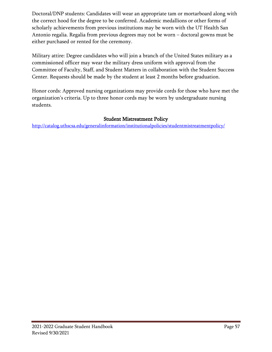Doctoral/DNP students: Candidates will wear an appropriate tam or mortarboard along with the correct hood for the degree to be conferred. Academic medallions or other forms of scholarly achievements from previous institutions may be worn with the UT Health San Antonio regalia. Regalia from previous degrees may not be worn – doctoral gowns must be either purchased or rented for the ceremony.

Military attire: Degree candidates who will join a branch of the United States military as a commissioned officer may wear the military dress uniform with approval from the Committee of Faculty, Staff, and Student Matters in collaboration with the Student Success Center. Requests should be made by the student at least 2 months before graduation.

Honor cords: Approved nursing organizations may provide cords for those who have met the organization's criteria. Up to three honor cords may be worn by undergraduate nursing students.

#### Student Mistreatment Policy

<http://catalog.uthscsa.edu/generalinformation/institutionalpolicies/studentmistreatmentpolicy/>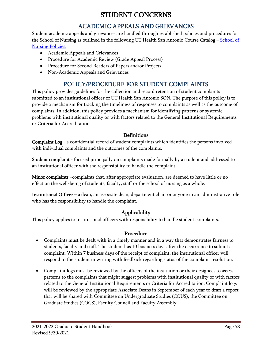# STUDENT CONCERNS

# ACADEMIC APPEALS AND GRIEVANCES

Student academic appeals and grievances are handled through established policies and procedures for the [School of](http://catalog.uthscsa.edu/schoolofnursing/msn/#programpoliciestext) Nursing as outlined in the following UT Health San Antonio Course Catalog – School of **[Nursing Policies:](http://catalog.uthscsa.edu/schoolofnursing/msn/#programpoliciestext)** 

- Academic Appeals and Grievances
- Procedure for Academic Review (Grade Appeal Process)
- Procedure for Second Readers of Papers and/or Projects
- Non-Academic Appeals and Grievances

# POLICY/PROCEDURE FOR STUDENT COMPLAINTS

This policy provides guidelines for the collection and record retention of student complaints submitted to an institutional officer of UT Health San Antonio SON. The purpose of this policy is to provide a mechanism for tracking the timeliness of responses to complaints as well as the outcome of complaints. In addition, this policy provides a mechanism for identifying patterns or systemic problems with institutional quality or with factors related to the General Institutional Requirements or Criteria for Accreditation.

#### **Definitions**

Complaint Log - a confidential record of student complaints which identifies the persons involved with individual complaints and the outcomes of the complaints.

Student complaint - focused principally on complaints made formally by a student and addressed to an institutional officer with the responsibility to handle the complaint.

Minor complaints –complaints that, after appropriate evaluation, are deemed to have little or no effect on the well-being of students, faculty, staff or the school of nursing as a whole.

Institutional Officer – a dean, an associate dean, department chair or anyone in an administrative role who has the responsibility to handle the complaint.

### Applicability

This policy applies to institutional officers with responsibility to handle student complaints.

#### Procedure

- Complaints must be dealt with in a timely manner and in a way that demonstrates fairness to students, faculty and staff. The student has 10 business days after the occurrence to submit a complaint. Within 7 business days of the receipt of complaint, the institutional officer will respond to the student in writing with feedback regarding status of the complaint resolution.
- Complaint logs must be reviewed by the officers of the institution or their designees to assess patterns to the complaints that might suggest problems with institutional quality or with factors related to the General Institutional Requirements or Criteria for Accreditation. Complaint logs will be reviewed by the appropriate Associate Deans in September of each year to draft a report that will be shared with Committee on Undergraduate Studies (COUS), the Committee on Graduate Studies (COGS), Faculty Council and Faculty Assembly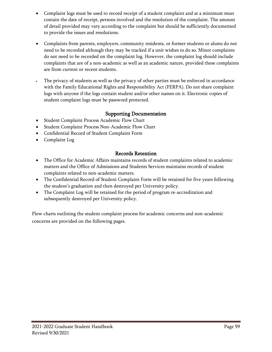- Complaint logs must be used to record receipt of a student complaint and at a minimum must contain the date of receipt, persons involved and the resolution of the complaint. The amount of detail provided may vary according to the complaint but should be sufficiently documented to provide the issues and resolutions.
- Complaints from parents, employers, community residents, or former students or alums do not need to be recorded although they may be tracked if a unit wishes to do so. Minor complaints do not need to be recorded on the complaint log. However, the complaint log should include complaints that are of a non-academic as well as an academic nature, provided these complaints are from current or recent students.
- The privacy of students as well as the privacy of other parties must be enforced in accordance with the Family Educational Rights and Responsibility Act (FERPA). Do not share complaint logs with anyone if the logs contain student and/or other names on it. Electronic copies of student complaint logs must be password protected.

### Supporting Documentation

- Student Complaint Process Academic Flow Chart
- Student Complaint Process Non-Academic Flow Chart
- Confidential Record of Student Complaint Form
- Complaint Log

#### Records Retention

- The Office for Academic Affairs maintains records of student complaints related to academic matters and the Office of Admissions and Students Services maintains records of student complaints related to non-academic matters.
- The Confidential Record of Student Complaint Form will be retained for five years following the student's graduation and then destroyed per University policy.
- The Complaint Log will be retained for the period of program re-accreditation and subsequently destroyed per University policy.

Flow charts outlining the student complaint process for academic concerns and non-academic concerns are provided on the following pages.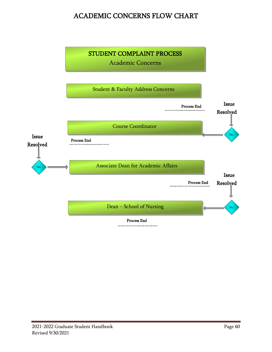# ACADEMIC CONCERNS FLOW CHART

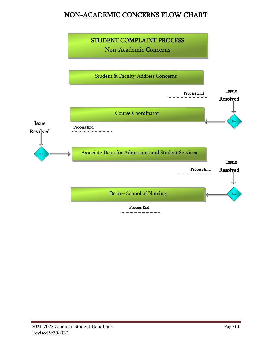# NON-ACADEMIC CONCERNS FLOW CHART

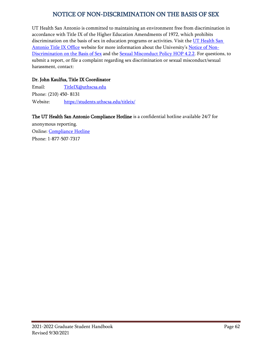### NOTICE OF NON-DISCRIMINATION ON THE BASIS OF SEX

UT Health San Antonio is committed to maintaining an environment free from discrimination in accordance with Title IX of the Higher Education Amendments of 1972, which prohibits discrimination on the basis of sex in education programs or activities. Visit the UT Health San [Antonio Title IX Office](https://students.uthscsa.edu/titleix/) website for more information about the University's [Notice of Non-](http://33hu841nxtz3q9wwt3fihfao-wpengine.netdna-ssl.com/titleix/wp-content/uploads/sites/7/2020/08/UT-Health-SA-Notice-of-Non-Discrimination-on-the-Basis-of-Sex.pdf)[Discrimination on the Basis of Sex](http://33hu841nxtz3q9wwt3fihfao-wpengine.netdna-ssl.com/titleix/wp-content/uploads/sites/7/2020/08/UT-Health-SA-Notice-of-Non-Discrimination-on-the-Basis-of-Sex.pdf) and the [Sexual Misconduct Policy HOP 4.2.2.](https://uthealthsa.sharepoint.com/RAC/Documents/HOP/Chapter04/4.2.2.pdf) For questions, to submit a report, or file a complaint regarding sex discrimination or sexual misconduct/sexual harassment, contact:

#### Dr. John Kaulfus, Title IX Coordinator

Email: [TitleIX@uthscsa.edu](mailto:TitleIX@uthscsa.edu) Phone: (210) 450- 8131 Website: <https://students.uthscsa.edu/titleix/>

#### The UT Health San Antonio Compliance Hotline is a confidential hotline available 24/7 for

anonymous reporting. Online: [Compliance Hotline](https://secure.ethicspoint.com/domain/media/en/gui/67623/index.html) Phone: 1-877-507-7317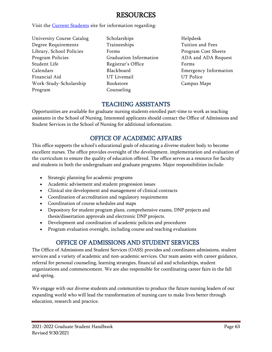# RESOURCES

Visit the **Current Students** site for information regarding:

- University Course Catalog Degree Requirements Library, School Policies Program Policies Student Life Calendars Financial Aid Work-Study-Scholarship Program
- Scholarships Traineeships Forms Graduation Information Registrar's Office Blackboard UT Livemail Bookstore Counseling
- Helpdesk Tuition and Fees Program Cost Sheets ADA and ADA Request Forms Emergency Information UT Police Campus Maps

## TEACHING ASSISTANTS

Opportunities are available for graduate nursing students enrolled part-time to work as teaching assistants in the School of Nursing. Interested applicants should contact the Office of Admissions and Student Services in the School of Nursing for additional information.

# OFFICE OF ACADEMIC AFFAIRS

This office supports the school's educational goals of educating a diverse student body to become excellent nurses. The office provides oversight of the development, implementation and evaluation of the curriculum to ensure the quality of education offered. The office serves as a resource for faculty and students in both the undergraduate and graduate programs. Major responsibilities include:

- Strategic planning for academic programs
- Academic advisement and student progression issues
- Clinical site development and management of clinical contracts
- Coordination of accreditation and regulatory requirements
- Coordination of course schedules and maps
- Depository for student program plans, comprehensive exams, DNP projects and thesis/dissertation approvals and electronic DNP projects.
- Development and coordination of academic policies and procedures
- Program evaluation oversight, including course and teaching evaluations

# OFFICE OF ADMISSIONS AND STUDENT SERVICES

The Office of Admissions and Student Services (OASS) provides and coordinates admissions, student services and a variety of academic and non-academic services. Our team assists with career guidance, referral for personal counseling, learning strategies, financial aid and scholarships, student organizations and commencement. We are also responsible for coordinating career fairs in the fall and spring.

We engage with our diverse students and communities to produce the future nursing leaders of our expanding world who will lead the transformation of nursing care to make lives better through education, research and practice.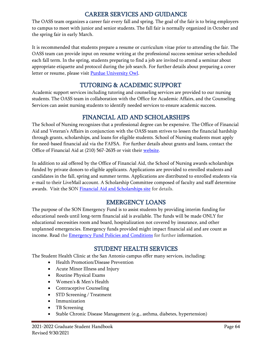### CAREER SERVICES AND GUIDANCE

The OASS team organizes a career fair every fall and spring. The goal of the fair is to bring employers to campus to meet with junior and senior students. The fall fair is normally organized in October and the spring fair in early March.

It is recommended that students prepare a resume or curriculum vitae prior to attending the fair. The OASS team can provide input on resume writing at the professional success seminar series scheduled each fall term. In the spring, students preparing to find a job are invited to attend a seminar about appropriate etiquette and protocol during the job search. For further details about preparing a cover letter or resume, please visit [Purdue University Owl.](https://owl.english.purdue.edu/)

## TUTORING & ACADEMIC SUPPORT

Academic support services including tutoring and counseling services are provided to our nursing students. The OASS team in collaboration with the Office for Academic Affairs, and the Counseling Services can assist nursing students to identify needed services to ensure academic success.

## FINANCIAL AID AND SCHOLARSHIPS

The School of Nursing recognizes that a professional degree can be expensive. The Office of Financial Aid and Veteran's Affairs in conjunction with the OASS team strives to lessen the financial hardship through grants, scholarships, and loans for eligible students. School of Nursing students must apply for need-based financial aid via the [FAFSA.](http://students.uthscsa.edu/financialaid/2013/02/how-to-apply/) For further details about grants and loans, contact the Office of Financial Aid at (210) 567-2635 or visit their [website.](http://students.uthscsa.edu/financialaid/)

In addition to aid offered by the Office of Financial Aid, the School of Nursing awards scholarships funded by private donors to eligible applicants. Applications are provided to enrolled students and candidates in the fall, spring and summer terms. Applications are distributed to enrolled students via e-mail to their LiveMail account. A Scholarship Committee composed of faculty and staff determine awards. Visit the SON [Financial Aid and Scholarships site](https://www.uthscsa.edu/academics/nursing/programs/scholarships) for details.

### EMERGENCY LOANS

The purpose of the SON Emergency Fund is to assist students by providing interim funding for educational needs until long-term financial aid is available. The funds will be made ONLY for educational necessities room and board, hospitalization not covered by insurance, and other unplanned emergencies. Emergency funds provided might impact financial aid and are count as income. Read the [Emergency Fund Policies and Conditions](http://nursing.uthscsa.edu/students/SON_Emergency%20Fund%20App_12_13%20.pdf) for further information.

### STUDENT HEALTH SERVICES

The Student Health Clinic at the San Antonio campus offer many services, including:

- Health Promotion/Disease Prevention
- Acute Minor Illness and Injury
- Routine Physical Exams
- Women's & Men's Health
- Contraceptive Counseling
- STD Screening / Treatment
- Immunization
- TB Screening
- Stable Chronic Disease Management (e.g., asthma, diabetes, hypertension)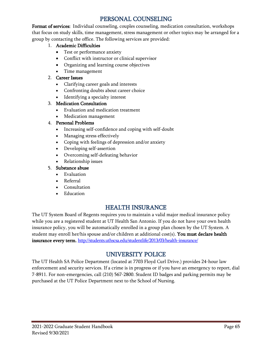### PERSONAL COUNSELING

Format of services: Individual counseling, couples counseling, medication consultation, workshops that focus on study skills, time management, stress management or other topics may be arranged for a group by contacting the office. The following services are provided:

#### 1. Academic Difficulties

- Test or performance anxiety
- Conflict with instructor or clinical supervisor
- Organizing and learning course objectives
- Time management

#### 2. Career Issues

- Clarifying career goals and interests
- Confronting doubts about career choice
- Identifying a specialty interest

### 3. Medication Consultation

- Evaluation and medication treatment
- Medication management

### 4. Personal Problems

- Increasing self-confidence and coping with self-doubt
- Managing stress effectively
- Coping with feelings of depression and/or anxiety
- Developing self-assertion
- Overcoming self-defeating behavior
- Relationship issues

#### 5. Substance abuse

- Evaluation
- Referral
- Consultation
- Education

# HEALTH INSURANCE

The UT System Board of Regents requires you to maintain a valid major medical insurance policy while you are a registered student at UT Health San Antonio. If you do not have your own health insurance policy, you will be automatically enrolled in a group plan chosen by the UT System. A student may enroll her/his spouse and/or children at additional cost(s). You must declare health insurance every term. <http://students.uthscsa.edu/studentlife/2013/03/health-insurance/>

# UNIVERSITY POLICE

The UT Health SA Police Department (located at 7703 Floyd Curl Drive.) provides 24-hour law enforcement and security services. If a crime is in progress or if you have an emergency to report, dial 7-8911. For non-emergencies, call (210) 567-2800. Student ID badges and parking permits may be purchased at the UT Police Department next to the School of Nursing.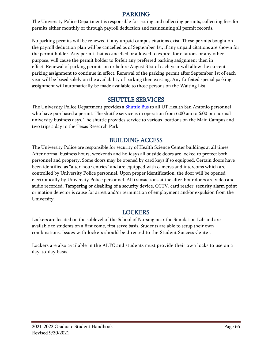### PARKING

The University Police Department is responsible for issuing and collecting permits, collecting fees for permits either monthly or through payroll deduction and maintaining all permit records.

No parking permits will be renewed if any unpaid campus citations exist. Those permits bought on the payroll deduction plan will be cancelled as of September 1st, if any unpaid citations are shown for the permit holder. Any permit that is cancelled or allowed to expire, for citations or any other purpose, will cause the permit holder to forfeit any preferred parking assignment then in effect. Renewal of parking permits on or before August 31st of each year will allow the current parking assignment to continue in effect. Renewal of the parking permit after September 1st of each year will be based solely on the availability of parking then existing. Any forfeited special parking assignment will automatically be made available to those persons on the Waiting List.

### SHUTTLE SERVICES

The University Police Department provides a **Shuttle Bus** to all UT Health San Antonio personnel who have purchased a permit. The shuttle service is in operation from 6:00 am to 6:00 pm normal university business days. The shuttle provides service to various locations on the Main Campus and two trips a day to the Texas Research Park.

## BUILDING ACCESS

The University Police are responsible for security of Health Science Center buildings at all times. After normal business hours, weekends and holidays all outside doors are locked to protect both personnel and property. Some doors may be opened by card keys if so equipped. Certain doors have been identified as "after-hour entries" and are equipped with cameras and intercoms which are controlled by University Police personnel. Upon proper identification, the door will be opened electronically by University Police personnel. All transactions at the after-hour doors are video and audio recorded. Tampering or disabling of a security device, CCTV, card reader, security alarm point or motion detector is cause for arrest and/or termination of employment and/or expulsion from the University.

### LOCKERS

Lockers are located on the sublevel of the School of Nursing near the Simulation Lab and are available to students on a first come, first serve basis. Students are able to setup their own combinations. Issues with lockers should be directed to the Student Success Center.

Lockers are also available in the ALTC and students must provide their own locks to use on a day-to-day basis.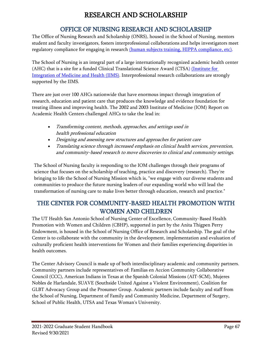# RESEARCH AND SCHOLARSHIP

# OFFICE OF NURSING RESEARCH AND SCHOLARSHIP

The Office of Nursing Research and Scholarship (ONRS), housed in the School of Nursing, mentors student and faculty investigators, fosters interprofessional collaborations and helps investigators meet regulatory compliance for engaging in research [\(human subjects training, HIPPA compliance, etc\).](http://research.uthscsa.edu/irb/resources.shtml)

The School of Nursing is an integral part of a large internationally recognized academic health center (AHC) that is a site for a funded Clinical Translational Science Award (CTSA) [\(Institute for](http://iims.uthscsa.edu/)  [Integration of Medicine and Health \(IIMS\).](http://iims.uthscsa.edu/) Interprofessional research collaborations are strongly supported by the IIMS.

There are just over 100 AHCs nationwide that have enormous impact through integration of research, education and patient care that produces the knowledge and evidence foundation for treating illness and improving health. The 2002 and 2003 Institute of Medicine (IOM) Report on Academic Health Centers challenged AHCs to take the lead in:

- Transforming content, methods, approaches, and settings used in health professional education
- Designing and assessing new structures and approaches for patient care
- Translating science through increased emphasis on clinical health services, prevention, and community-based research to move discoveries to clinical and community settings.

The School of Nursing faculty is responding to the IOM challenges through their programs of science that focuses on the scholarship of teaching, practice and discovery (research). They're bringing to life the School of Nursing Mission which is, "we engage with our diverse students and communities to produce the future nursing leaders of our expanding world who will lead the transformation of nursing care to make lives better through education, research and practice."

# THE CENTER FOR COMMUNITY-BASED HEALTH PROMOTION WITH WOMEN AND CHILDREN

The UT Health San Antonio School of Nursing Center of Excellence, Community-Based Health Promotion with Women and Children (CBHP), supported in part by the Anita Thigpen Perry Endowment, is housed in the School of Nursing Office of Research and Scholarship. The goal of the Center is to collaborate with the community in the development, implementation and evaluation of culturally proficient health interventions for Women and their families experiencing disparities in health outcomes.

The Center Advisory Council is made up of both interdisciplinary academic and community partners. Community partners include representatives of: Familias en Accion Community Collaborative Council (CCC), American Indians in Texas at the Spanish Colonial Missions (AIT-SCM), Mujeres Nobles de Harlandale, SUAVE (Southside United Against a Violent Environment), Coalition for GLBT Advocacy Group and the Prosumer Group. Academic partners include faculty and staff from the School of Nursing, Department of Family and Community Medicine, Department of Surgery, School of Public Health, UTSA and Texas Woman's University.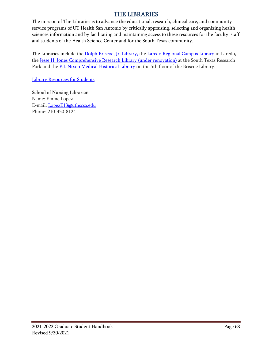### THE LIBRARIES

The mission of The Libraries is to advance the educational, research, clinical care, and community service programs of UT Health San Antonio by critically appraising, selecting and organizing health sciences information and by facilitating and maintaining access to these resources for the faculty, staff and students of the Health Science Center and for the South Texas community.

The Libraries include the [Dolph Briscoe, Jr. Library,](http://library.uthscsa.edu/2011/11/dolph-briscoe-jr-library/) the [Laredo Regional Campus Library](http://library.uthscsa.edu/2011/11/laredo-library/) in Laredo, the Jesse H. Jones Comprehensive Research Library (under renovation) at the South Texas Research Park and the **P.I. Nixon Medical Historical Library** on the 5th floor of the Briscoe Library.

[Library Resources for Students](http://library.uthscsa.edu/2011/11/resources-for-students/)

#### School of Nursing Librarian

Name: Emme Lopez E-mail: [LopezE13@uthscsa.edu](mailto:LopezE13@uthscsa.edu) Phone: 210-450-8124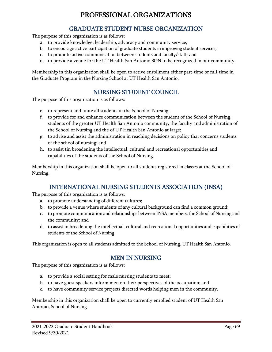# PROFESSIONAL ORGANIZATIONS

### GRADUATE STUDENT NURSE ORGANIZATION

The purpose of this organization is as follows:

- a. to provide knowledge, leadership, advocacy and community service;
- b. to encourage active participation of graduate students in improving student services;
- c. to promote active communication between students and faculty/staff; and
- d. to provide a venue for the UT Health San Antonio SON to be recognized in our community.

Membership in this organization shall be open to active enrollment either part-time or full-time in the Graduate Program in the Nursing School at UT Health San Antonio.

### NURSING STUDENT COUNCIL

The purpose of this organization is as follows:

- e. to represent and unite all students in the School of Nursing;
- f. to provide for and enhance communication between the student of the School of Nursing, students of the greater UT Health San Antonio community, the faculty and administration of the School of Nursing and the of UT Health San Antonio at large;
- g. to advise and assist the administration in reaching decisions on policy that concerns students of the school of nursing; and
- h. to assist tin broadening the intellectual, cultural and recreational opportunities and capabilities of the students of the School of Nursing.

Membership in this organization shall be open to all students registered in classes at the School of Nursing.

### INTERNATIONAL NURSING STUDENTS ASSOCIATION (INSA)

The purpose of this organization is as follows:

- a. to promote understanding of different cultures;
- b. to provide a venue where students of any cultural background can find a common ground;
- c. to promote communication and relationships between INSA members, the School of Nursing and the community; and
- d. to assist in broadening the intellectual, cultural and recreational opportunities and capabilities of students of the School of Nursing.

This organization is open to all students admitted to the School of Nursing, UT Health San Antonio.

### MEN IN NURSING

The purpose of this organization is as follows:

- a. to provide a social setting for male nursing students to meet;
- b. to have guest speakers inform men on their perspectives of the occupation; and
- c. to have community service projects directed words helping men in the community.

Membership in this organization shall be open to currently enrolled student of UT Health San Antonio, School of Nursing.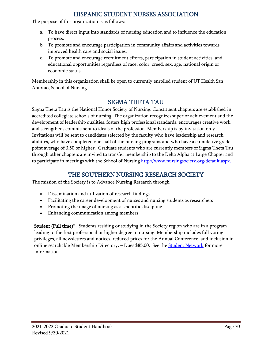### HISPANIC STUDENT NURSES ASSOCIATION

The purpose of this organization is as follows:

- a. To have direct input into standards of nursing education and to influence the education process.
- b. To promote and encourage participation in community affairs and activities towards improved health care and social issues.
- c. To promote and encourage recruitment efforts, participation in student activities, and educational opportunities regardless of race, color, creed, sex, age, national origin or economic status.

Membership in this organization shall be open to currently enrolled student of UT Health San Antonio, School of Nursing.

# SIGMA THETA TAU

Sigma Theta Tau is the National Honor Society of Nursing. Constituent chapters are established in accredited collegiate schools of nursing. The organization recognizes superior achievement and the development of leadership qualities, fosters high professional standards, encourages creative work and strengthens commitment to ideals of the profession. Membership is by invitation only. Invitations will be sent to candidates selected by the faculty who have leadership and research abilities, who have completed one-half of the nursing programs and who have a cumulative grade point average of 3.50 or higher. Graduate students who are currently members of Sigma Theta Tau through other chapters are invited to transfer membership to the Delta Alpha at Large Chapter and to participate in meetings with the School of Nursing [http://www.nursingsociety.org/default.aspx.](http://www.nursingsociety.org/default.aspx)

## THE SOUTHERN NURSING RESEARCH SOCIETY

The mission of the Society is to Advance Nursing Research through

- Dissemination and utilization of research findings
- Facilitating the career development of nurses and nursing students as researchers
- Promoting the image of nursing as a scientific discipline
- Enhancing communication among members

**Student (Full time)\*** - Students residing or studying in the Society region who are in a program leading to the first professional or higher degree in nursing. Membership includes full voting privileges, all newsletters and notices, reduced prices for the Annual Conference, and inclusion in online searchable Membership Directory. – Dues \$85.00. See the **Student Network** for more information.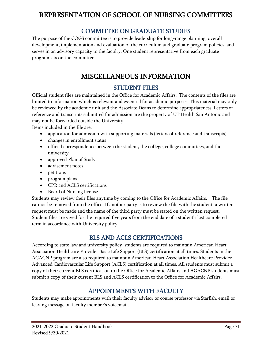# REPRESENTATION OF SCHOOL OF NURSING COMMITTEES

### COMMITTEE ON GRADUATE STUDIES

The purpose of the COGS committee is to provide leadership for long-range planning, overall development, implementation and evaluation of the curriculum and graduate program policies, and serves in an advisory capacity to the faculty. One student representative from each graduate program sits on the committee.

# MISCELLANEOUS INFORMATION

## STUDENT FILES

Official student files are maintained in the Office for Academic Affairs. The contents of the files are limited to information which is relevant and essential for academic purposes. This material may only be reviewed by the academic unit and the Associate Deans to determine appropriateness. Letters of reference and transcripts submitted for admission are the property of UT Health San Antonio and may not be forwarded outside the University.

Items included in the file are:

- application for admission with supporting materials (letters of reference and transcripts)
- changes in enrollment status
- official correspondence between the student, the college, college committees, and the university
- approved Plan of Study
- advisement notes
- petitions
- program plans
- CPR and ACLS certifications
- Board of Nursing license

Students may review their files anytime by coming to the Office for Academic Affairs. The file cannot be removed from the office. If another party is to review the file with the student, a written request must be made and the name of the third party must be stated on the written request. Student files are saved for the required five years from the end date of a student's last completed term in accordance with University policy.

### BLS AND ACLS CERTIFICATIONS

According to state law and university policy, students are required to maintain American Heart Association Healthcare Provider Basic Life Support (BLS) certification at all times. Students in the AGACNP program are also required to maintain American Heart Association Healthcare Provider Advanced Cardiovascular Life Support (ACLS) certification at all times. All students must submit a copy of their current BLS certification to the Office for Academic Affairs and AGACNP students must submit a copy of their current BLS and ACLS certification to the Office for Academic Affairs.

# APPOINTMENTS WITH FACULTY

Students may make appointments with their faculty advisor or course professor via Starfish, email or leaving message on faculty member's voicemail.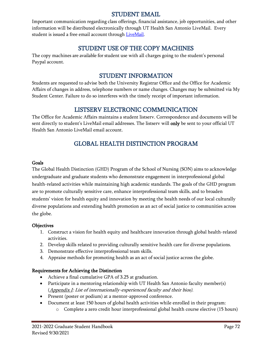### STUDENT EMAIL

Important communication regarding class offerings, financial assistance, job opportunities, and other information will be distributed electronically through UT Health San Antonio LiveMail. Every student is issued a free email account through [LiveMail.](https://login.microsoftonline.com/common/oauth2/authorize?client_id=00000002-0000-0ff1-ce00-000000000000&redirect_uri=https%3a%2f%2foutlook.office365.com%2fowa%2f&resource=00000002-0000-0ff1-ce00-000000000000&response_mode=form_post&response_type=code+id_token&scope=openid&msafed=0&client-request-id=5b5ea342-b271-4292-a673-fad10e00838f&protectedtoken=true&claims=%7b%22id_token%22%3a%7b%22xms_cc%22%3a%7b%22values%22%3a%5b%22CP1%22%5d%7d%7d%7d&domain_hint=livemail.uthscsa.edu&nonce=637335882841798232.abe47cbc-6473-45fc-be47-643c3c185123&state=FYtLDoAgDAVBT-EhAKFg63GwYiTRuPB3fetiXjIvGa2UaoVG0L2MwgEQIBEFih5HChBsnkpEntgMEcHEtLD5H1FgYE_JB9DSdu54s9vqU_ZcN3tf68lntmW-Pw)

### STUDENT USE OF THE COPY MACHINES

The copy machines are available for student use with all charges going to the student's personal Paypal account.

## STUDENT INFORMATION

Students are requested to advise both the University Registrar Office and the Office for Academic Affairs of changes in address, telephone numbers or name changes. Changes may be submitted via My Student Center. Failure to do so interferes with the timely receipt of important information.

## LISTSERV ELECTRONIC COMMUNICATION

The Office for Academic Affairs maintains a student listserv. Correspondence and documents will be sent directly to student's LiveMail email addresses. The listserv will only be sent to your official UT Health San Antonio LiveMail email account.

# GLOBAL HEALTH DISTINCTION PROGRAM

#### Goals

The Global Health Distinction (GHD) Program of the School of Nursing (SON) aims to acknowledge undergraduate and graduate students who demonstrate engagement in interprofessional global health-related activities while maintaining high academic standards. The goals of the GHD program are to promote culturally sensitive care, enhance interprofessional team skills, and to broaden students' vision for health equity and innovation by meeting the health needs of our local culturally diverse populations and extending health promotion as an act of social justice to communities across the globe.

#### **Objectives**

- 1. Construct a vision for health equity and healthcare innovation through global health-related activities.
- 2. Develop skills related to providing culturally sensitive health care for diverse populations.
- 3. Demonstrate effective interprofessional team skills.
- 4. Appraise methods for promoting health as an act of social justice across the globe.

#### Requirements for Achieving the Distinction

- Achieve a final cumulative GPA of 3.25 at graduation.
- Participate in a mentoring relationship with UT Health San Antonio faculty member(s) (Appendix I: List of internationally-experienced faculty and their bios).
- Present (poster or podium) at a mentor-approved conference.
- Document at least 150 hours of global health activities while enrolled in their program:
	- o Complete a zero credit hour interprofessional global health course elective (15 hours)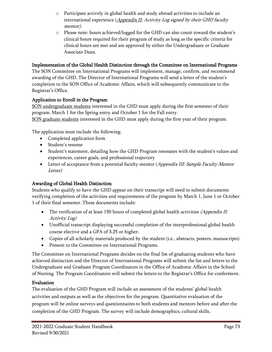- o Participate actively in global health and study abroad activities to include an international experience  $\Delta$ *ppendix II:* Activity Log signed by their GHD faculty mentor).
- o Please note: hours achieved/logged for the GHD can also count toward the student's clinical hours required for their program of study as long as the specific criteria for clinical hours are met and are approved by either the Undergraduate or Graduate Associate Dean.

### Implementation of the Global Health Distinction through the Committee on International Programs

The SON Committee on International Programs will implement, manage, confirm, and recommend awarding of the GHD. The Director of International Programs will send a letter of the student's completion to the SON Office of Academic Affairs, which will subsequently communicate to the Registrar's Office.

### Application to Enroll in the Program

SON undergraduate students interested in the GHD must apply during the first semester of their program: March 1 for the Spring entry and October 1 for the Fall entry. SON graduate students interested in the GHD must apply during the first year of their program.

The application must include the following:

- Completed application form
- Student's resume
- Student's statement, detailing how the GHD Program resonates with the student's values and experiences, career goals, and professional trajectory
- Letter of acceptance from a potential faculty mentor (Appendix III: Sample Faculty Mentor Letter)

### Awarding of Global Health Distinction

Students who qualify to have the GHD appear on their transcript will need to submit documents verifying completion of the activities and requirements of the program by March 1, June 1 or October 1 of their final semester. These documents include:

- The verification of at least 150 hours of completed global health activities (Appendix II: Activity Log)
- Unofficial transcript displaying successful completion of the interprofessional global health course elective and a GPA of 3.25 or higher.
- Copies of all scholarly materials produced by the student (i.e., abstracts, posters, manuscripts)
- Present to the Committee on International Programs.

The Committee on International Programs decides on the final list of graduating students who have achieved distinction and the Director of International Programs will submit the list and letters to the Undergraduate and Graduate Program Coordinators in the Office of Academic Affairs in the School of Nursing. The Program Coordinators will submit the letters to the Registrar's Office for conferment.

### Evaluation

The evaluation of the GHD Program will include an assessment of the students' global health activities and outputs as well as the objectives for the program. Quantitative evaluation of the program will be online surveys and questionnaires to both students and mentors before and after the completion of the GHD Program. The survey will include demographics, cultural skills,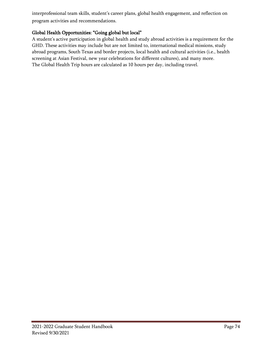interprofessional team skills, student's career plans, global health engagement, and reflection on program activities and recommendations.

### Global Health Opportunities: "Going global but local"

A student's active participation in global health and study abroad activities is a requirement for the GHD. These activities may include but are not limited to, international medical missions, study abroad programs, South Texas and border projects, local health and cultural activities (i.e., health screening at Asian Festival, new year celebrations for different cultures), and many more. The Global Health Trip hours are calculated as 10 hours per day, including travel.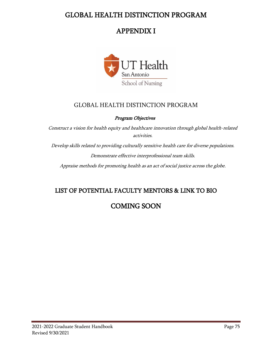## GLOBAL HEALTH DISTINCTION PROGRAM

# APPENDIX I



### GLOBAL HEALTH DISTINCTION PROGRAM

#### Program Objectives

Construct a vision for health equity and healthcare innovation through global health-related activities.

Develop skills related to providing culturally sensitive health care for diverse populations. Demonstrate effective interprofessional team skills.

Appraise methods for promoting health as an act of social justice across the globe.

## LIST OF POTENTIAL FACULTY MENTORS & LINK TO BIO

COMING SOON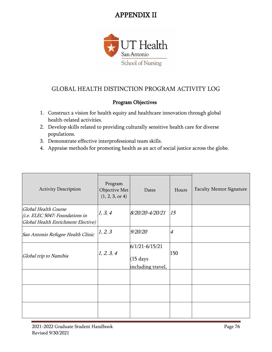# APPENDIX II



## GLOBAL HEALTH DISTINCTION PROGRAM ACTIVITY LOG

### Program Objectives

- 1. Construct a vision for health equity and healthcare innovation through global health-related activities.
- 2. Develop skills related to providing culturally sensitive health care for diverse populations.
- 3. Demonstrate effective interprofessional team skills.
- 4. Appraise methods for promoting health as an act of social justice across the globe.

| <b>Activity Description</b>                                                                   | Program<br>Objective Met<br>(1, 2, 3, or 4) | Dates                                                          | Hours          | <b>Faculty Mentor Signature</b> |
|-----------------------------------------------------------------------------------------------|---------------------------------------------|----------------------------------------------------------------|----------------|---------------------------------|
| Global Health Course<br>(i.e. ELEC 5047: Foundations in<br>Global Health Enrichment Elective) | 1, 3, 4                                     | 8/20/20-4/20/21                                                | 15             |                                 |
| San Antonio Refugee Health Clinic                                                             | 1, 2, 3                                     | 9/20/20                                                        | $\overline{4}$ |                                 |
| Global trip to Namibia                                                                        | 1, 2, 3, 4                                  | $6/1/21 - 6/15/21$<br>$(15 \text{ days})$<br>including travel, | 150            |                                 |
|                                                                                               |                                             |                                                                |                |                                 |
|                                                                                               |                                             |                                                                |                |                                 |
|                                                                                               |                                             |                                                                |                |                                 |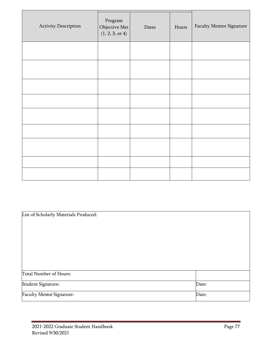| Activity Description | Program<br>Objective Met<br>(1, 2, 3, or 4) | Dates | Hours | Faculty Mentor Signature |
|----------------------|---------------------------------------------|-------|-------|--------------------------|
|                      |                                             |       |       |                          |
|                      |                                             |       |       |                          |
|                      |                                             |       |       |                          |
|                      |                                             |       |       |                          |
|                      |                                             |       |       |                          |
|                      |                                             |       |       |                          |
|                      |                                             |       |       |                          |
|                      |                                             |       |       |                          |
|                      |                                             |       |       |                          |

| List of Scholarly Materials Produced: |       |
|---------------------------------------|-------|
|                                       |       |
|                                       |       |
|                                       |       |
|                                       |       |
|                                       |       |
| Total Number of Hours:                |       |
| Student Signature:                    | Date: |
| Faculty Mentor Signature:             | Date: |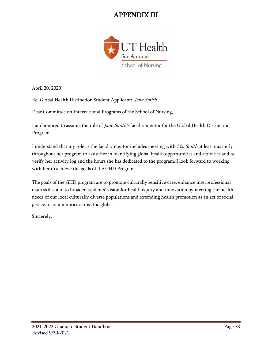# APPENDIX III



April 20, 2020

Re: Global Health Distinction Student Applicant: Jane Smith

Dear Committee on International Programs of the School of Nursing,

I am honored to assume the role of *Jane Smith's* faculty mentor for the Global Health Distinction Program.

I understand that my role as the faculty mentor includes meeting with Ms. Smith at least quarterly throughout her program to assist her in identifying global health opportunities and activities and to verify her activity log and the hours she has dedicated to the program. I look forward to working with her to achieve the goals of the GHD Program.

The goals of the GHD program are to promote culturally sensitive care, enhance interprofessional team skills, and to broaden students' vision for health equity and innovation by meeting the health needs of our local culturally diverse populations and extending health promotion as an act of social justice to communities across the globe.

Sincerely,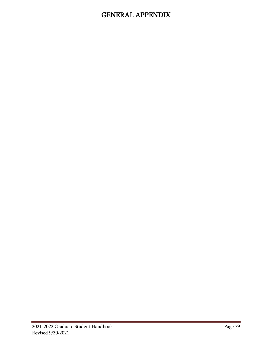# GENERAL APPENDIX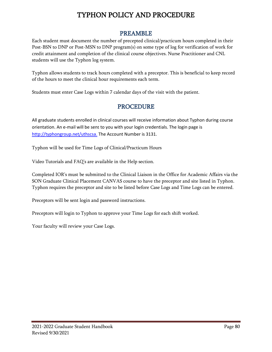# TYPHON POLICY AND PROCEDURE

### PREAMBLE

Each student must document the number of precepted clinical/practicum hours completed in their Post-BSN to DNP or Post-MSN to DNP program(s) on some type of log for verification of work for credit attainment and completion of the clinical course objectives. Nurse Practitioner and CNL students will use the Typhon log system.

Typhon allows students to track hours completed with a preceptor. This is beneficial to keep record of the hours to meet the clinical hour requirements each term.

Students must enter Case Logs within 7 calendar days of the visit with the patient.

### PROCEDURE

All graduate students enrolled in clinical courses will receive information about Typhon during course orientation. An e-mail will be sent to you with your login credentials. The login page is [http://typhongroup.net/uthscsa.](http://typhongroup.net/uthscsa) The Account Number is 3131.

Typhon will be used for Time Logs of Clinical/Practicum Hours

Video Tutorials and FAQ's are available in the Help section.

Completed IOR's must be submitted to the Clinical Liaison in the Office for Academic Affairs via the SON Graduate Clinical Placement CANVAS course to have the preceptor and site listed in Typhon. Typhon requires the preceptor and site to be listed before Case Logs and Time Logs can be entered.

Preceptors will be sent login and password instructions.

Preceptors will login to Typhon to approve your Time Logs for each shift worked.

Your faculty will review your Case Logs.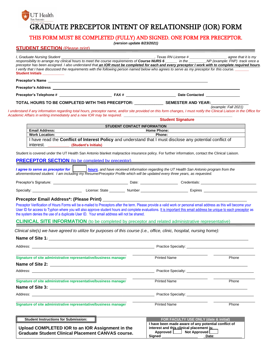### **UT** Health San Antonio GRADUATE PRECEPTOR INTENT OF RELATIONSHIP (IOR) FORM

### THIS FORM MUST BE COMPLETED (FULLY) AND SIGNED. ONE FORM PER PRECEPTOR.

*(version update 8/23/2021)*

#### **STUDENT SECTION (Please print)**

| <b>Student Initials Student Initials</b>       |                                                                                          |                                                                                                                                                                                                                                                                                                                                           |                      |
|------------------------------------------------|------------------------------------------------------------------------------------------|-------------------------------------------------------------------------------------------------------------------------------------------------------------------------------------------------------------------------------------------------------------------------------------------------------------------------------------------|----------------------|
|                                                |                                                                                          |                                                                                                                                                                                                                                                                                                                                           |                      |
|                                                |                                                                                          |                                                                                                                                                                                                                                                                                                                                           |                      |
|                                                |                                                                                          |                                                                                                                                                                                                                                                                                                                                           |                      |
|                                                |                                                                                          | TOTAL HOURS TO BE COMPLETED WITH THIS PRECEPTOR: _________________ SEMESTER AND YEAR:_______                                                                                                                                                                                                                                              |                      |
|                                                | Academic Affairs in writing immediately and a new IOR may be required.                   | I understand if any information regarding total hours, preceptor name, and/or site provided on this form changes, I must notify the Clinical Liaison in the Office for                                                                                                                                                                    | (example: Fall 2021) |
|                                                |                                                                                          | <b>Student Signature</b>                                                                                                                                                                                                                                                                                                                  |                      |
|                                                |                                                                                          | <b>STUDENT CONTACT INFORMATION</b>                                                                                                                                                                                                                                                                                                        |                      |
| <b>Email Address:</b><br><b>Work Location:</b> |                                                                                          | <b>Home Phone:</b><br>Phone:                                                                                                                                                                                                                                                                                                              |                      |
| interest.                                      | (Student's Initials)                                                                     | I have read the Conflict of Interest Policy and understand that I must disclose any potential conflict of                                                                                                                                                                                                                                 |                      |
|                                                |                                                                                          | Student is covered under the UT Health San Antonio blanket malpractice insurance policy. For further information, contact the Clinical Liaison.                                                                                                                                                                                           |                      |
|                                                | <b>PRECEPTOR SECTION</b> (to be completed by preceptor)                                  |                                                                                                                                                                                                                                                                                                                                           |                      |
|                                                |                                                                                          | and the control of the control of the control of the control of the control of the control of the control of th                                                                                                                                                                                                                           |                      |
|                                                |                                                                                          | I agree to serve as preceptor for <b>container to a set of the server</b> information regarding the UT Health San Antonio program from the aforementioned student. I am including my Resume/Preceptor Profile which will be updated                                                                                                       |                      |
|                                                |                                                                                          |                                                                                                                                                                                                                                                                                                                                           |                      |
|                                                |                                                                                          |                                                                                                                                                                                                                                                                                                                                           |                      |
|                                                | Preceptor Email Address*: (Please Print) ___________                                     | Preceptor Verification of Hours Forms will be e-mailed to Preceptors after the term. Please provide a valid work or personal email address as this will become your<br>User ID for access to Typhon where you will also approve student hours and complete evaluations. It is important this email address be unique to each preceptor as |                      |
|                                                | the system denies the use of a duplicate User ID. Your email address will not be shared. | <b>CLINICAL SITE INFORMATION</b> (to be completed by preceptor and related administrative representative)<br>Clinical site(s) we have agreed to utilize for purposes of this course (i.e., office, clinic, hospital, nursing home):                                                                                                       |                      |
|                                                |                                                                                          |                                                                                                                                                                                                                                                                                                                                           |                      |
|                                                |                                                                                          | Address: National Address: National Address: National Address: National Address: National Address: National Address: National Address: National Address: National Address: National Address: National Address: National Addres                                                                                                            |                      |
|                                                | Signature of site administrative representative/business manager                         | <b>Printed Name</b>                                                                                                                                                                                                                                                                                                                       | Phone                |
|                                                |                                                                                          |                                                                                                                                                                                                                                                                                                                                           |                      |
|                                                |                                                                                          |                                                                                                                                                                                                                                                                                                                                           |                      |
|                                                |                                                                                          | <b>Printed Name</b>                                                                                                                                                                                                                                                                                                                       | Phone                |
|                                                | Signature of site administrative representative/business manager                         |                                                                                                                                                                                                                                                                                                                                           |                      |
|                                                |                                                                                          |                                                                                                                                                                                                                                                                                                                                           |                      |
|                                                | Signature of site administrative representative/business manager                         | <b>Printed Name</b>                                                                                                                                                                                                                                                                                                                       | Phone                |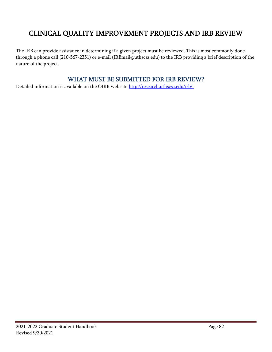# <span id="page-81-0"></span>CLINICAL QUALITY IMPROVEMENT PROJECTS AND IRB REVIEW

The IRB can provide assistance in determining if a given project must be reviewed. This is most commonly done through a phone call (210-567-2351) or e-mail (IRBmail@uthscsa.edu) to the IRB providing a brief description of the nature of the project.

### WHAT MUST BE SUBMITTED FOR IRB REVIEW?

Detailed information is available on the OIRB web site [http://research.uthscsa.edu/irb/.](http://research.uthscsa.edu/irb/)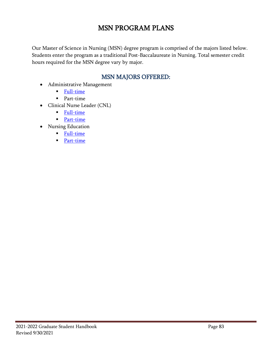# MSN PROGRAM PLANS

Our Master of Science in Nursing (MSN) degree program is comprised of the majors listed below. Students enter the program as a traditional Post-Baccalaureate in Nursing. Total semester credit hours required for the MSN degree vary by major.

## MSN MAJORS OFFERED:

- Administrative Management
	- [Full-time](http://nursing.uthscsa.edu/programs/grad/Admin_Mgmt_FT_Fall-MSN_Program_Plan.pdf)
	- Part-time
- Clinical Nurse Leader (CNL)
	- [Full-time](http://nursing.uthscsa.edu/programs/grad/CNL_FT_Fall_MSN_Program_Plan.pdf)
	- [Part-time](http://nursing.uthscsa.edu/programs/grad/CNL_PT_Fall_MSN_Program_Plan.pdf)
- Nursing Education
	- **[Full-time](http://nursing.uthscsa.edu/programs/grad/Nsg%20Education%20FT%20Fall%20-%20%20MSN%20Program%20Plan.pdf)**
	- [Part-time](http://nursing.uthscsa.edu/programs/grad/Nsg%20Education%20PT%20Fall%20-%20%20MSN%20Program%20Plan.pdf)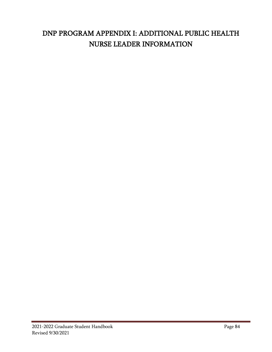# DNP PROGRAM APPENDIX I: ADDITIONAL PUBLIC HEALTH NURSE LEADER INFORMATION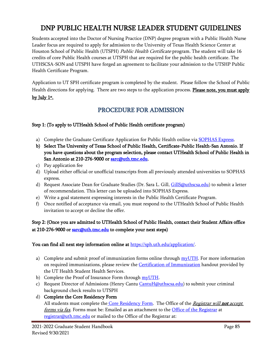# DNP PUBLIC HEALTH NURSE LEADER STUDENT GUIDELINES

Students accepted into the Doctor of Nursing Practice (DNP) degree program with a Public Health Nurse Leader focus are required to apply for admission to the University of Texas Health Science Center at Houston School of Public Health (UTSPH) Public Health Certificate program. The student will take 16 credits of core Public Health courses at UTSPH that are required for the public health certificate. The UTHSCSA-SON and UTSPH have forged an agreement to facilitate your admission to the UTSHP Public Health Certificate Program.

Application to UT SPH certificate program is completed by the student. Please follow the School of Public Health directions for applying. There are two steps to the application process. Please note, you must apply <u>by July 1st.</u>

## PROCEDURE FOR ADMISSION

### Step 1: (To apply to UTHealth School of Public Health certificate program)

- a) Complete the Graduate Certificate Application for Public Health online via [SOPHAS Express.](https://sophasexpress.liaisoncas.com/applicant-ux/#/login)
- b) Select The University of Texas School of Public Health, Certificate-Public Health-San Antonio. If you have questions about the program selection, please contact UTHealth School of Public Health in San Antonio at 210-276-9000 or [sarc@uth.tmc.edu.](mailto:sarc@uth.tmc.edu)
- c) Pay application fee
- d) Upload either official or unofficial transcripts from all previously attended universities to SOPHAS express.
- d) Request Associate Dean for Graduate Studies (Dr. Sara L. Gill, [GillS@uthscsa.edu\)](mailto:GillS@uthscsa.edu) to submit a letter of recommendation. This letter can be uploaded into SOPHAS Express.
- e) Write a goal statement expressing interests in the Public Health Certificate Program.
- f) Once notified of acceptance via email, you must respond to the UTHealth School of Public Health invitation to accept or decline the offer.

### Step 2: (Once you are admitted to UTHealth School of Public Health, contact their Student Affairs office at 210-276-9000 or [sarc@uth.tmc.edu](mailto:sarc@uth.tmc.edu) to complete your next steps)

#### You can find all next step information online at [https://sph.uth.edu/application/.](https://sph.uth.edu/application/)

- a) Complete and submit proof of immunization forms online through  $myUTH$ . For more information on required immunizations, please review the [Certification of Immunization](https://sph.uth.edu/content/uploads/2010/08/Certification-of-Immunization1.pdf) handout provided by the UT Health Student Health Services.
- b) Complete the Proof of Insurance Form through [myUTH.](https://uthidp.uth.edu/nidp/saml2/sso?id=Campus-Affiliate-LOA2-DUO&sid=3&option=credential&sid=3)
- c) Request Director of Admissions (Henry Cantu [CantuH@uthscsa.edu\)](mailto:CantuH@uthscsa.edu) to submit your criminal background check results to UTSPH
- d) Complete the Core Residency Form

All students must complete the [Core Residency Form.](http://www.uth.edu/registrar/current-students/student-information/policy-for-texas-resident-tuition.htm) The Office of the Registrar will not accept forms via fax. Forms must be: Emailed as an attachment to the [Office of the Registrar](https://www.uth.edu/registrar/) at [registrar@uth.tmc.edu](mailto:registrar@uth.tmc.edu) or mailed to the Office of the Registrar at: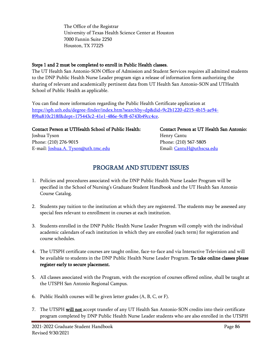The Office of the Registrar University of Texas Health Science Center at Houston 7000 Fannin Suite 2250 Houston, TX 77225

#### Steps 1 and 2 must be completed to enroll in Public Health classes.

The UT Health San Antonio-SON Office of Admission and Student Services requires all admitted students to the DNP Public Health Nurse Leader program sign a release of information form authorizing the sharing of relevant and academically pertinent data from UT Health San Antonio-SON and UTHealth School of Public Health as applicable.

You can find more information regarding the Public Health Certificate application at [https://sph.uth.edu/degree-finder/index.htm?searchby=dp&did=9c2b1220-d215-4b15-ae94-](https://sph.uth.edu/degree-finder/index.htm?searchby=dp&did=9c2b1220-d215-4b15-ae94-89ba810c218f&dept=175443c2-41e1-486e-9cf8-6743b49cc4ce) [89ba810c218f&dept=175443c2-41e1-486e-9cf8-6743b49cc4ce.](https://sph.uth.edu/degree-finder/index.htm?searchby=dp&did=9c2b1220-d215-4b15-ae94-89ba810c218f&dept=175443c2-41e1-486e-9cf8-6743b49cc4ce)

### Contact Person at UTHealth School of Public Health: Contact Person at UT Health San Antonio: Joshua Tyson National State of the Media and Henry Cantu Phone: (210) 276-9015 Phone: (210) 567-5805

E-mail: <u>Joshua.A. Tyson@uth.tmc.edu</u> Email: [CantuH@uthscsa.edu](mailto:CantuH@uthscsa.edu)

## PROGRAM AND STUDENT ISSUES

- 1. Policies and procedures associated with the DNP Public Health Nurse Leader Program will be specified in the School of Nursing's Graduate Student Handbook and the UT Health San Antonio Course Catalog.
- 2. Students pay tuition to the institution at which they are registered. The students may be assessed any special fees relevant to enrollment in courses at each institution.
- 3. Students enrolled in the DNP Public Health Nurse Leader Program will comply with the individual academic calendars of each institution in which they are enrolled (each term) for registration and course schedules.
- 4. The UTSPH certificate courses are taught online, face-to-face and via Interactive Television and will be available to students in the DNP Public Health Nurse Leader Program. To take online classes please register early to secure placement.
- 5. All classes associated with the Program, with the exception of courses offered online, shall be taught at the UTSPH San Antonio Regional Campus.
- 6. Public Health courses will be given letter grades (A, B, C, or F).
- 7. The UTSPH will not accept transfer of any UT Health San Antonio-SON credits into their certificate program completed by DNP Public Health Nurse Leader students who are also enrolled in the UTSPH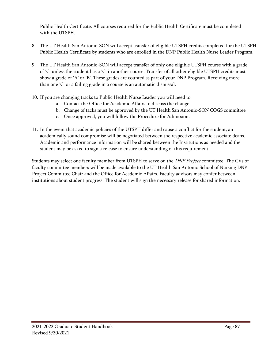Public Health Certificate. All courses required for the Public Health Certificate must be completed with the UTSPH.

- 8. The UT Health San Antonio-SON will accept transfer of eligible UTSPH credits completed for the UTSPH Public Health Certificate by students who are enrolled in the DNP Public Health Nurse Leader Program.
- 9. The UT Health San Antonio-SON will accept transfer of only one eligible UTSPH course with a grade of 'C' unless the student has a 'C' in another course. Transfer of all other eligible UTSPH credits must show a grade of 'A' or 'B'. These grades are counted as part of your DNP Program. Receiving more than one 'C' or a failing grade in a course is an automatic dismissal.
- 10. If you are changing tracks to Public Health Nurse Leader you will need to:
	- a. Contact the Office for Academic Affairs to discuss the change
	- b. Change of tacks must be approved by the UT Health San Antonio-SON COGS committee
	- c. Once approved, you will follow the Procedure for Admission.
- 11. In the event that academic policies of the UTSPH differ and cause a conflict for the student, an academically sound compromise will be negotiated between the respective academic associate deans. Academic and performance information will be shared between the Institutions as needed and the student may be asked to sign a release to ensure understanding of this requirement.

Students may select one faculty member from UTSPH to serve on the DNP Project committee. The CVs of faculty committee members will be made available to the UT Health San Antonio School of Nursing DNP Project Committee Chair and the Office for Academic Affairs. Faculty advisors may confer between institutions about student progress. The student will sign the necessary release for shared information.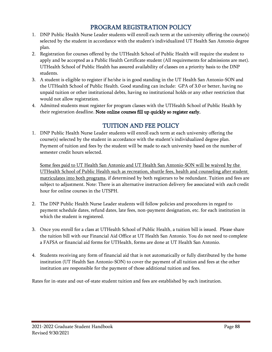## PROGRAM REGISTRATION POLICY

- 1. DNP Public Health Nurse Leader students will enroll each term at the university offering the course(s) selected by the student in accordance with the student's individualized UT Health San Antonio degree plan.
- 2. Registration for courses offered by the UTHealth School of Public Health will require the student to apply and be accepted as a Public Health Certificate student (All requirements for admissions are met). UTHealth School of Public Health has assured availability of classes on a priority basis to the DNP students.
- 3. A student is eligible to register if he/she is in good standing in the UT Health San Antonio-SON and the UTHealth School of Public Health. Good standing can include: GPA of 3.0 or better, having no unpaid tuition or other institutional debts, having no institutional holds or any other restriction that would not allow registration.
- 4. Admitted students must register for program classes with the UTHealth School of Public Health by their registration deadline. Note online courses fill up quickly so register early.

## TUITION AND FEE POLICY

1. DNP Public Health Nurse Leader students will enroll each term at each university offering the course(s) selected by the student in accordance with the student's individualized degree plan. Payment of tuition and fees by the student will be made to each university based on the number of semester credit hours selected.

Some fees paid to UT Health San Antonio and UT Health San Antonio-SON will be waived by the UTHealth School of Public Health such as recreation, shuttle fees, health and counseling after student matriculates into both programs, if determined by both registrars to be redundant. Tuition and fees are subject to adjustment. Note: There is an alternative instruction delivery fee associated with *each* credit hour for online courses in the UTSPH.

- 2. The DNP Public Health Nurse Leader students will follow policies and procedures in regard to payment schedule dates, refund dates, late fees, non-payment designation, etc. for each institution in which the student is registered.
- 3. Once you enroll for a class at UTHealth School of Public Health, a tuition bill is issued. Please share the tuition bill with our Financial Aid Office at UT Health San Antonio. You do not need to complete a FAFSA or financial aid forms for UTHealth, forms are done at UT Health San Antonio.
- 4. Students receiving any form of financial aid that is not automatically or fully distributed by the home institution (UT Health San Antonio-SON) to cover the payment of all tuition and fees at the other institution are responsible for the payment of those additional tuition and fees.

Rates for in-state and out-of-state student tuition and fees are established by each institution.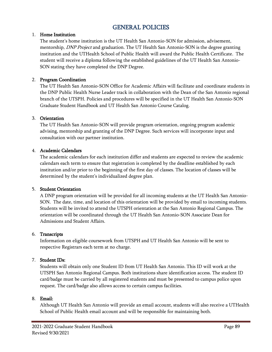### GENERAL POLICIES

#### 1. Home Institution

The student's home institution is the UT Health San Antonio-SON for admission, advisement, mentorship, *DNP Project* and graduation. The UT Health San Antonio-SON is the degree granting institution and the UTHealth School of Public Health will award the Public Health Certificate. The student will receive a diploma following the established guidelines of the UT Health San Antonio-SON stating they have completed the DNP Degree.

#### 2. Program Coordination

The UT Health San Antonio-SON Office for Academic Affairs will facilitate and coordinate students in the DNP Public Health Nurse Leader track in collaboration with the Dean of the San Antonio regional branch of the UTSPH. Policies and procedures will be specified in the UT Health San Antonio-SON Graduate Student Handbook and UT Health San Antonio Course Catalog.

#### 3. Orientation

The UT Health San Antonio-SON will provide program orientation, ongoing program academic advising, mentorship and granting of the DNP Degree. Such services will incorporate input and consultation with our partner institution.

#### 4. Academic Calendars

The academic calendars for each institution differ and students are expected to review the academic calendars each term to ensure that registration is completed by the deadline established by each institution and/or prior to the beginning of the first day of classes. The location of classes will be determined by the student's individualized degree plan.

#### 5. Student Orientation

A DNP program orientation will be provided for all incoming students at the UT Health San Antonio-SON. The date, time, and location of this orientation will be provided by email to incoming students. Students will be invited to attend the UTSPH orientation at the San Antonio Regional Campus. The orientation will be coordinated through the UT Health San Antonio-SON Associate Dean for Admissions and Student Affairs.

#### 6. Transcripts

Information on eligible coursework from UTSPH and UT Health San Antonio will be sent to respective Registrars each term at no charge.

#### 7. Student IDs:

Students will obtain only one Student ID from UT Health San Antonio. This ID will work at the UTSPH San Antonio Regional Campus. Both institutions share identification access. The student ID card/badge must be carried by all registered students and must be presented to campus police upon request. The card/badge also allows access to certain campus facilities.

#### 8. Email:

Although UT Health San Antonio will provide an email account, students will also receive a UTHealth School of Public Health email account and will be responsible for maintaining both.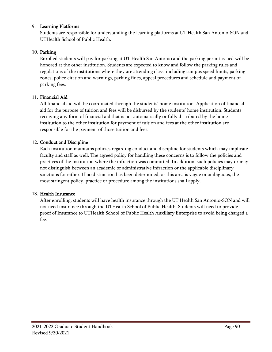#### 9. Learning Platforms

Students are responsible for understanding the learning platforms at UT Health San Antonio-SON and UTHealth School of Public Health.

#### 10. Parking

Enrolled students will pay for parking at UT Health San Antonio and the parking permit issued will be honored at the other institution. Students are expected to know and follow the parking rules and regulations of the institutions where they are attending class, including campus speed limits, parking zones, police citation and warnings, parking fines, appeal procedures and schedule and payment of parking fees.

#### 11. Financial Aid

All financial aid will be coordinated through the students' home institution. Application of financial aid for the purpose of tuition and fees will be disbursed by the students' home institution. Students receiving any form of financial aid that is not automatically or fully distributed by the home institution to the other institution for payment of tuition and fees at the other institution are responsible for the payment of those tuition and fees.

#### 12. Conduct and Discipline

Each institution maintains policies regarding conduct and discipline for students which may implicate faculty and staff as well. The agreed policy for handling these concerns is to follow the policies and practices of the institution where the infraction was committed. In addition, such policies may or may not distinguish between an academic or administrative infraction or the applicable disciplinary sanctions for either. If no distinction has been determined, or this area is vague or ambiguous, the most stringent policy, practice or procedure among the institutions shall apply.

#### 13. Health Insurance

After enrolling, students will have health insurance through the UT Health San Antonio-SON and will not need insurance through the UTHealth School of Public Health. Students will need to provide proof of Insurance to UTHealth School of Public Health Auxiliary Enterprise to avoid being charged a fee.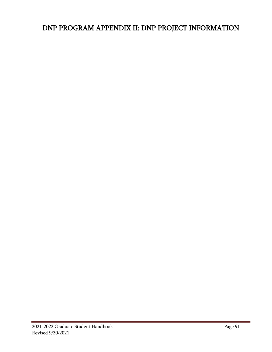# DNP PROGRAM APPENDIX II: DNP PROJECT INFORMATION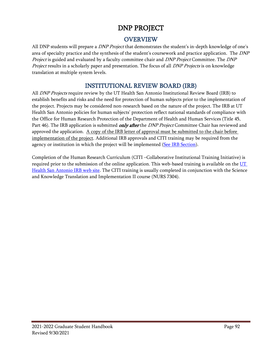## DNP PROJECT

## OVERVIEW

All DNP students will prepare a *DNP Project* that demonstrates the student's in-depth knowledge of one's area of specialty practice and the synthesis of the student's coursework and practice application. The DNP Project is guided and evaluated by a faculty committee chair and DNP Project Committee. The DNP Project results in a scholarly paper and presentation. The focus of all DNP Projects is on knowledge translation at multiple system levels.

## INSTITUTIONAL REVIEW BOARD (IRB)

All *DNP Projects* require review by the UT Health San Antonio Institutional Review Board (IRB) to establish benefits and risks and the need for protection of human subjects prior to the implementation of the project. Projects may be considered non-research based on the nature of the project. The IRB at UT Health San Antonio policies for human subjects' protection reflect national standards of compliance with the Office for Human Research Protection of the Department of Health and Human Services (Title 45, Part 46). The IRB application is submitted *only after* the *DNP Project* Committee Chair has reviewed and approved the application. A copy of the IRB letter of approval must be submitted to the chair before implementation of the project. Additional IRB approvals and CITI training may be required from the agency or institution in which the project will be implemented [\(See IRB Section\)](#page-81-0).

Completion of the Human Research Curriculum (CITI –Collaborative Institutional Training Initiative) is required prior to the submission of the online application. This web-based training is available on the UT [Health San Antonio IRB web site.](http://research.uthscsa.edu/irb/training.shtml) The CITI training is usually completed in conjunction with the Science and Knowledge Translation and Implementation II course (NURS 7304).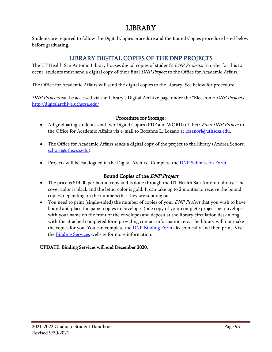## LIBRARY

Students are required to follow the Digital Copies procedure and the Bound Copies procedure listed below before graduating.

### LIBRARY DIGITAL COPIES OF THE DNP PROJECTS

The UT Health San Antonio Library houses digital copies of student's *DNP Projects*. In order for this to occur, students must send a digital copy of their final DNP Project to the Office for Academic Affairs.

The Office for Academic Affairs will send the digital copies to the Library. See below for procedure.

DNP Projects can be accessed via the Library's Digital Archive page under the "Electronic DNP Projects": <http://digitalarchive.uthscsa.edu/>

### Procedure for Storage:

- All graduating students send two Digital Copies (PDF and WORD) of their Final DNP Project to the Office for Academic Affairs via e-mail to Roxanne L. Lozano at [lozanorl@uthscsa.edu.](mailto:lozanorl@uthscsa.edu)
- The Office for Academic Affairs sends a digital copy of the project to the library (Andrea Schorr, [schorr@uthscsa.edu\)](mailto:schorr@uthscsa.edu).
- Projects will be catalogued in the Digital Archive. Complete the *DNP* Submission Form.

### Bound Copies of the DNP Project

- The price is \$14.00 per bound copy and is done through the UT Health San Antonio library. The cover color is black and the letter color is gold. It can take up to 2 months to receive the bound copies, depending on the numbers that they are sending out.
- You need to print (single-sided) the number of copies of your *DNP Project* that you wish to have bound and place the paper copies in envelopes (one copy of your complete project per envelope with your name on the front of the envelope) and deposit at the library circulation desk along with the attached completed form providing contact information, etc. The library will not make the copies for you. You can complete the **DNP Binding Form** electronically and then print. Visit the **[Binding Services](https://libguides.uthscsa.edu/bindingservices)** website for more information.

#### UPDATE: Binding Services will end December 2020.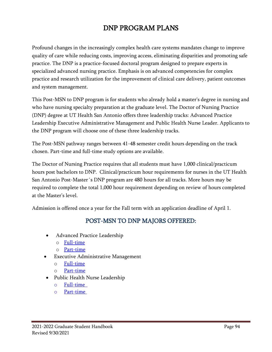# DNP PROGRAM PLANS

Profound changes in the increasingly complex health care systems mandates change to improve quality of care while reducing costs, improving access, eliminating disparities and promoting safe practice. The DNP is a practice-focused doctoral program designed to prepare experts in specialized advanced nursing practice. Emphasis is on advanced competencies for complex practice and research utilization for the improvement of clinical care delivery, patient outcomes and system management.

This Post-MSN to DNP program is for students who already hold a master's degree in nursing and who have nursing specialty preparation at the graduate level. The Doctor of Nursing Practice (DNP) degree at UT Health San Antonio offers three leadership tracks: Advanced Practice Leadership Executive Administrative Management and Public Health Nurse Leader. Applicants to the DNP program will choose one of these three leadership tracks.

The Post-MSN pathway ranges between 41-48 semester credit hours depending on the track chosen. Part-time and full-time study options are available.

The Doctor of Nursing Practice requires that all students must have 1,000 clinical/practicum hours post bachelors to DNP. Clinical/practicum hour requirements for nurses in the UT Health San Antonio Post-Master´s DNP program are 480 hours for all tracks. More hours may be required to complete the total 1,000 hour requirement depending on review of hours completed at the Master's level.

Admission is offered once a year for the Fall term with an application deadline of April 1.

## POST-MSN TO DNP MAJORS OFFERED:

- Advanced Practice Leadership
	- o [Full-time](file://///cfs2.win.uthscsa.edu/links/son/NursingDean/Graduate/Program%20Plans/Current%20Plan%20Templates/DNP/Post-MSN%20to%20DNP/APL/Revised%20F19%20with%20new%20Courses%20from%20Post-BSN%20to%20DNP%20Program%20Implementation/Fall%202021%20Program%20Plans)
	- o [Part-time](file://///cfs2.win.uthscsa.edu/links/son/NursingDean/Graduate/Program%20Plans/Current%20Plan%20Templates/DNP/Post-MSN%20to%20DNP/APL/Revised%20F19%20with%20new%20Courses%20from%20Post-BSN%20to%20DNP%20Program%20Implementation/Fall%202021%20Program%20Plans)
- **Executive Administrative Management** 
	- o [Full-time](file://///cfs2.win.uthscsa.edu/links/son/NursingDean/Graduate/Program%20Plans/Current%20Plan%20Templates/DNP/Post-MSN%20to%20DNP/EAM/Revised%20F19%20with%20new%20Courses%20from%20Post-BSN%20to%20DNP%20Program%20Implementation/Fall%202021%20Program%20Plans)
	- o [Part-time](file://///cfs2.win.uthscsa.edu/links/son/NursingDean/Graduate/Program%20Plans/Current%20Plan%20Templates/DNP/Post-MSN%20to%20DNP/EAM/Revised%20F19%20with%20new%20Courses%20from%20Post-BSN%20to%20DNP%20Program%20Implementation/Fall%202021%20Program%20Plans)
- Public Health Nurse Leadership
	- o [Full-time](file://///cfs2.win.uthscsa.edu/links/son/NursingDean/Graduate/Program%20Plans/Current%20Plan%20Templates/DNP/Post-MSN%20to%20DNP/PH/Revised%20F19%20with%20new%20Courses%20from%20Post-BSN%20to%20DNP%20Program%20Implementation/Fall%202021%20Program%20Plans/Program%20Plan%20Post-MSN%20to%20DNP%20PH%20FT%20Fall%202021.pdf)
	- o [Part-time](file://///cfs2.win.uthscsa.edu/links/son/NursingDean/Graduate/Program%20Plans/Current%20Plan%20Templates/DNP/Post-MSN%20to%20DNP/PH/Revised%20F19%20with%20new%20Courses%20from%20Post-BSN%20to%20DNP%20Program%20Implementation/Fall%202021%20Program%20Plans/Program%20Plan%20Post-MSN%20to%20DNP%20PH%20PT%20Fall%202021.pdf)